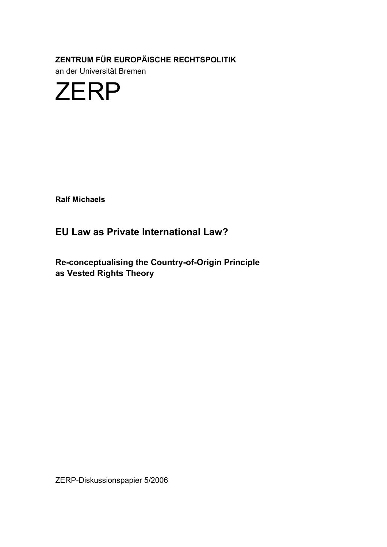**ZENTRUM FÜR EUROPÄISCHE RECHTSPOLITIK** 

an der Universität Bremen



**Ralf Michaels** 

**EU Law as Private International Law?** 

**Re-conceptualising the Country-of-Origin Principle as Vested Rights Theory** 

ZERP-Diskussionspapier 5/2006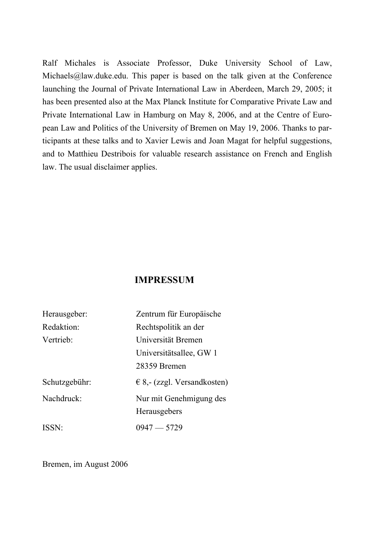Ralf Michales is Associate Professor, Duke University School of Law, Michaels@law.duke.edu. This paper is based on the talk given at the Conference launching the Journal of Private International Law in Aberdeen, March 29, 2005; it has been presented also at the Max Planck Institute for Comparative Private Law and Private International Law in Hamburg on May 8, 2006, and at the Centre of European Law and Politics of the University of Bremen on May 19, 2006. Thanks to participants at these talks and to Xavier Lewis and Joan Magat for helpful suggestions, and to Matthieu Destribois for valuable research assistance on French and English law. The usual disclaimer applies.

#### **IMPRESSUM**

| Herausgeber:  | Zentrum für Europäische         |
|---------------|---------------------------------|
| Redaktion:    | Rechtspolitik an der            |
| Vertrieb:     | Universität Bremen              |
|               | Universitätsallee, GW 1         |
|               | 28359 Bremen                    |
| Schutzgebühr: | $\in$ 8,- (zzgl. Versandkosten) |
| Nachdruck:    | Nur mit Genehmigung des         |
|               | Herausgebers                    |
| ISSN:         | $0947 - 5729$                   |

Bremen, im August 2006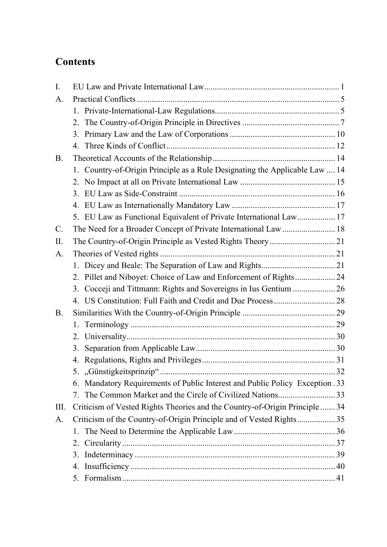# **Contents**

| $\mathbf{I}$ .  |                                                                              |  |
|-----------------|------------------------------------------------------------------------------|--|
| A.              |                                                                              |  |
|                 |                                                                              |  |
|                 | 2.                                                                           |  |
|                 | 3.                                                                           |  |
|                 |                                                                              |  |
| <b>B.</b>       |                                                                              |  |
|                 | 1. Country-of-Origin Principle as a Rule Designating the Applicable Law  14  |  |
|                 | $\overline{2}$ .                                                             |  |
|                 | 3.                                                                           |  |
|                 | 4.                                                                           |  |
|                 | 5. EU Law as Functional Equivalent of Private International Law 17           |  |
| $\mathcal{C}$ . |                                                                              |  |
| II.             |                                                                              |  |
| A.              |                                                                              |  |
|                 |                                                                              |  |
|                 | 2.                                                                           |  |
|                 |                                                                              |  |
|                 |                                                                              |  |
| <b>B.</b>       |                                                                              |  |
|                 | 1.                                                                           |  |
|                 | 2.                                                                           |  |
|                 | 3.                                                                           |  |
|                 | 4.                                                                           |  |
|                 |                                                                              |  |
|                 | 6. Mandatory Requirements of Public Interest and Public Policy Exception .33 |  |
|                 |                                                                              |  |
| Ш.              | Criticism of Vested Rights Theories and the Country-of-Origin Principle  34  |  |
| A.              | Criticism of the Country-of-Origin Principle and of Vested Rights 35         |  |
|                 |                                                                              |  |
|                 | 2.                                                                           |  |
|                 | 3.                                                                           |  |
|                 |                                                                              |  |
|                 |                                                                              |  |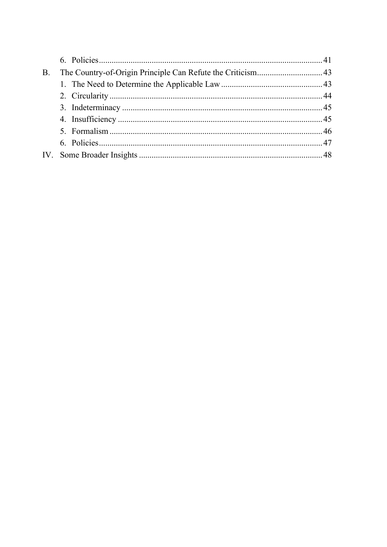| Β. |  |
|----|--|
|    |  |
|    |  |
|    |  |
|    |  |
|    |  |
|    |  |
|    |  |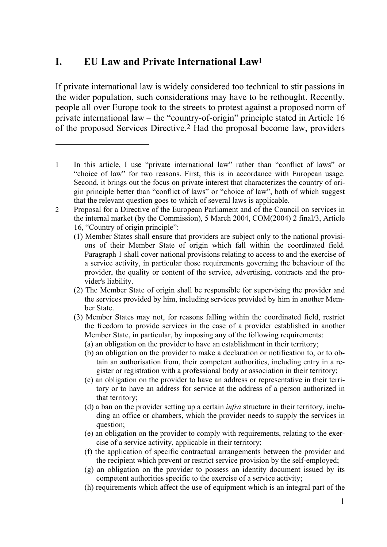## **I. EU Law and Private International Law**<sup>1</sup>

 $\overline{a}$ 

If private international law is widely considered too technical to stir passions in the wider population, such considerations may have to be rethought. Recently, people all over Europe took to the streets to protest against a proposed norm of private international law – the "country-of-origin" principle stated in Article 16 of the proposed Services Directive.2 Had the proposal become law, providers

- (1) Member States shall ensure that providers are subject only to the national provisions of their Member State of origin which fall within the coordinated field. Paragraph 1 shall cover national provisions relating to access to and the exercise of a service activity, in particular those requirements governing the behaviour of the provider, the quality or content of the service, advertising, contracts and the provider's liability.
- (2) The Member State of origin shall be responsible for supervising the provider and the services provided by him, including services provided by him in another Member State.
- (3) Member States may not, for reasons falling within the coordinated field, restrict the freedom to provide services in the case of a provider established in another Member State, in particular, by imposing any of the following requirements:
	- (a) an obligation on the provider to have an establishment in their territory;
	- (b) an obligation on the provider to make a declaration or notification to, or to obtain an authorisation from, their competent authorities, including entry in a register or registration with a professional body or association in their territory;
	- (c) an obligation on the provider to have an address or representative in their territory or to have an address for service at the address of a person authorized in that territory;
	- (d) a ban on the provider setting up a certain *infra* structure in their territory, including an office or chambers, which the provider needs to supply the services in question;
	- (e) an obligation on the provider to comply with requirements, relating to the exercise of a service activity, applicable in their territory;
	- (f) the application of specific contractual arrangements between the provider and the recipient which prevent or restrict service provision by the self-employed;
	- (g) an obligation on the provider to possess an identity document issued by its competent authorities specific to the exercise of a service activity;
	- (h) requirements which affect the use of equipment which is an integral part of the

<sup>1</sup> In this article, I use "private international law" rather than "conflict of laws" or "choice of law" for two reasons. First, this is in accordance with European usage. Second, it brings out the focus on private interest that characterizes the country of origin principle better than "conflict of laws" or "choice of law", both of which suggest that the relevant question goes to which of several laws is applicable.

<sup>2</sup> Proposal for a Directive of the European Parliament and of the Council on services in the internal market (by the Commission), 5 March 2004, COM(2004) 2 final/3, Article 16, "Country of origin principle":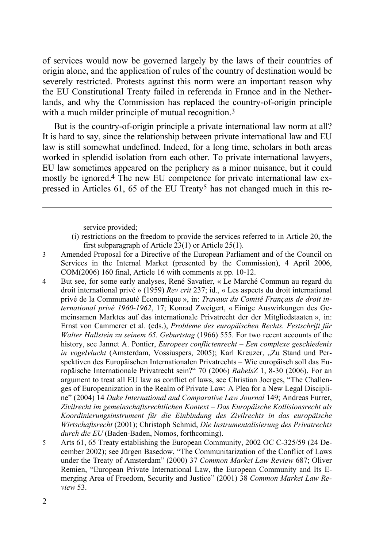of services would now be governed largely by the laws of their countries of origin alone, and the application of rules of the country of destination would be severely restricted. Protests against this norm were an important reason why the EU Constitutional Treaty failed in referenda in France and in the Netherlands, and why the Commission has replaced the country-of-origin principle with a much milder principle of mutual recognition.<sup>3</sup>

But is the country-of-origin principle a private international law norm at all? It is hard to say, since the relationship between private international law and EU law is still somewhat undefined. Indeed, for a long time, scholars in both areas worked in splendid isolation from each other. To private international lawyers, EU law sometimes appeared on the periphery as a minor nuisance, but it could mostly be ignored.4 The new EU competence for private international law expressed in Articles 61, 65 of the EU Treaty5 has not changed much in this re-

service provided;

- (i) restrictions on the freedom to provide the services referred to in Article 20, the first subparagraph of Article 23(1) or Article 25(1).
- 3 Amended Proposal for a Directive of the European Parliament and of the Council on Services in the Internal Market (presented by the Commission), 4 April 2006, COM(2006) 160 final, Article 16 with comments at pp. 10-12.
- 4 But see, for some early analyses, René Savatier, « Le Marché Commun au regard du droit international privé » (1959) *Rev crit* 237; id., « Les aspects du droit international privé de la Communauté Économique », in: *Travaux du Comité Français de droit international privé 1960-1962*, 17; Konrad Zweigert, « Einige Auswirkungen des Gemeinsamen Marktes auf das internationale Privatrecht der der Mitgliedstaaten », in: Ernst von Cammerer et al. (eds.), *Probleme des europäischen Rechts. Festschrift für Walter Hallstein zu seinem 65. Geburtstag* (1966) 555. For two recent accounts of the history, see Jannet A. Pontier, *Europees conflictenrecht – Een complexe geschiedenis in vogelvlucht* (Amsterdam, Vossiuspers, 2005); Karl Kreuzer, "Zu Stand und Perspektiven des Europäischen Internationalen Privatrechts – Wie europäisch soll das Europäische Internationale Privatrecht sein?" 70 (2006) *RabelsZ* 1, 8-30 (2006). For an argument to treat all EU law as conflict of laws, see Christian Joerges, "The Challenges of Europeanization in the Realm of Private Law: A Plea for a New Legal Discipline" (2004) 14 *Duke International and Comparative Law Journal* 149; Andreas Furrer, *Zivilrecht im gemeinschaftsrechtlichen Kontext – Das Europäische Kollisionsrecht als Koordinierungsinstrument für die Einbindung des Zivilrechts in das europäische Wirtschaftsrecht* (2001); Christoph Schmid, *Die Instrumentalisierung des Privatrechts durch die EU* (Baden-Baden, Nomos, forthcoming).
- 5 Arts 61, 65 Treaty establishing the European Community, 2002 OC C-325/59 (24 December 2002); see Jürgen Basedow, "The Communitarization of the Conflict of Laws under the Treaty of Amsterdam" (2000) 37 *Common Market Law Review* 687; Oliver Remien, "European Private International Law, the European Community and Its Emerging Area of Freedom, Security and Justice" (2001) 38 *Common Market Law Review* 53.

1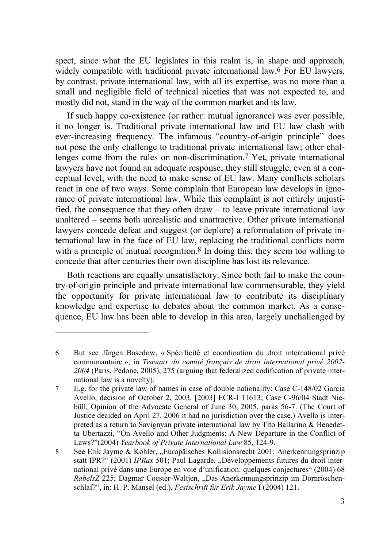spect, since what the EU legislates in this realm is, in shape and approach, widely compatible with traditional private international law.<sup>6</sup> For EU lawyers, by contrast, private international law, with all its expertise, was no more than a small and negligible field of technical niceties that was not expected to, and mostly did not, stand in the way of the common market and its law.

If such happy co-existence (or rather: mutual ignorance) was ever possible, it no longer is. Traditional private international law and EU law clash with ever-increasing frequency. The infamous "country-of-origin principle" does not pose the only challenge to traditional private international law; other challenges come from the rules on non-discrimination.7 Yet, private international lawyers have not found an adequate response; they still struggle, even at a conceptual level, with the need to make sense of EU law. Many conflicts scholars react in one of two ways. Some complain that European law develops in ignorance of private international law. While this complaint is not entirely unjustified, the consequence that they often draw – to leave private international law unaltered – seems both unrealistic and unattractive. Other private international lawyers concede defeat and suggest (or deplore) a reformulation of private international law in the face of EU law, replacing the traditional conflicts norm with a principle of mutual recognition.<sup>8</sup> In doing this, they seem too willing to concede that after centuries their own discipline has lost its relevance.

Both reactions are equally unsatisfactory. Since both fail to make the country-of-origin principle and private international law commensurable, they yield the opportunity for private international law to contribute its disciplinary knowledge and expertise to debates about the common market. As a consequence, EU law has been able to develop in this area, largely unchallenged by

<sup>6</sup> But see Jürgen Basedow, « Spécificité et coordination du droit international privé communautaire », in *Travaux du comité français de droit international privé 2002- 2004* (Paris, Pédone, 2005), 275 (arguing that federalized codification of private international law is a novelty).

<sup>7</sup> E.g. for the private law of names in case of double nationality: Case C-148/02 Garcia Avello, decision of October 2, 2003, [2003] ECR-I 11613; Case C-96/04 Stadt Niebüll, Opinion of the Advocate General of June 30, 2005, paras 56-7. (The Court of Justice decided on April 27, 2006 it had no jurisdiction over the case.) Avello is interpreted as a return to Savignyan private international law by Tito Ballarino & Benedetta Ubertazzi, "On Avello and Other Judgments: A New Departure in the Conflict of Laws?"(2004) *Yearbook of Private International Law* 85, 124-9.

<sup>8</sup> See Erik Jayme & Kohler, "Europäisches Kollisionsrecht 2001: Anerkennungsprinzip statt IPR?" (2001) *IPRax* 501; Paul Lagarde, "Développements futures du droit international privé dans une Europe en voie d'unification: quelques conjectures" (2004) 68 *RabelsZ* 225; Dagmar Coester-Waltjen, "Das Anerkennungsprinzip im Dornröschenschlaf?", in: H. P. Mansel (ed.), *Festschrift für Erik Jayme* I (2004) 121.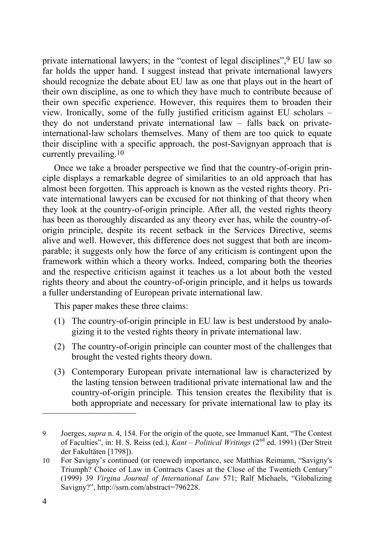private international lawyers; in the "contest of legal disciplines",9 EU law so far holds the upper hand. I suggest instead that private international lawyers should recognize the debate about EU law as one that plays out in the heart of their own discipline, as one to which they have much to contribute because of their own specific experience. However, this requires them to broaden their view. Ironically, some of the fully justified criticism against EU scholars – they do not understand private international law – falls back on privateinternational-law scholars themselves. Many of them are too quick to equate their discipline with a specific approach, the post-Savignyan approach that is currently prevailing.10

Once we take a broader perspective we find that the country-of-origin principle displays a remarkable degree of similarities to an old approach that has almost been forgotten. This approach is known as the vested rights theory. Private international lawyers can be excused for not thinking of that theory when they look at the country-of-origin principle. After all, the vested rights theory has been as thoroughly discarded as any theory ever has, while the country-oforigin principle, despite its recent setback in the Services Directive, seems alive and well. However, this difference does not suggest that both are incomparable; it suggests only how the force of any criticism is contingent upon the framework within which a theory works. Indeed, comparing both the theories and the respective criticism against it teaches us a lot about both the vested rights theory and about the country-of-origin principle, and it helps us towards a fuller understanding of European private international law.

This paper makes these three claims:

- (1) The country-of-origin principle in EU law is best understood by analogizing it to the vested rights theory in private international law.
- (2) The country-of-origin principle can counter most of the challenges that brought the vested rights theory down.
- (3) Contemporary European private international law is characterized by the lasting tension between traditional private international law and the country-of-origin principle. This tension creates the flexibility that is both appropriate and necessary for private international law to play its

<sup>9</sup> Joerges, *supra* n. 4, 154. For the origin of the quote, see Immanuel Kant, "The Contest of Faculties", in: H. S. Reiss (ed.), *Kant – Political Writings* (2nd ed. 1991) (Der Streit der Fakultäten [1798]).

<sup>10</sup> For Savigny's continued (or renewed) importance, see Matthias Reimann, "Savigny's Triumph? Choice of Law in Contracts Cases at the Close of the Twentieth Century" (1999) 39 *Virgina Journal of International Law* 571; Ralf Michaels, "Globalizing Savigny?", http://ssrn.com/abstract=796228.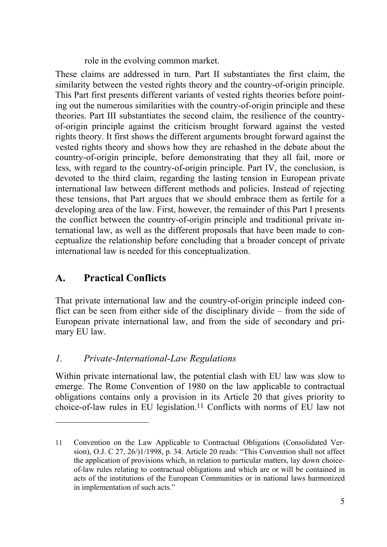role in the evolving common market.

These claims are addressed in turn. Part II substantiates the first claim, the similarity between the vested rights theory and the country-of-origin principle. This Part first presents different variants of vested rights theories before pointing out the numerous similarities with the country-of-origin principle and these theories. Part III substantiates the second claim, the resilience of the countryof-origin principle against the criticism brought forward against the vested rights theory. It first shows the different arguments brought forward against the vested rights theory and shows how they are rehashed in the debate about the country-of-origin principle, before demonstrating that they all fail, more or less, with regard to the country-of-origin principle. Part IV, the conclusion, is devoted to the third claim, regarding the lasting tension in European private international law between different methods and policies. Instead of rejecting these tensions, that Part argues that we should embrace them as fertile for a developing area of the law. First, however, the remainder of this Part I presents the conflict between the country-of-origin principle and traditional private international law, as well as the different proposals that have been made to conceptualize the relationship before concluding that a broader concept of private international law is needed for this conceptualization.

# **A. Practical Conflicts**

 $\overline{a}$ 

That private international law and the country-of-origin principle indeed conflict can be seen from either side of the disciplinary divide – from the side of European private international law, and from the side of secondary and primary EU law.

## *1. Private-International-Law Regulations*

Within private international law, the potential clash with EU law was slow to emerge. The Rome Convention of 1980 on the law applicable to contractual obligations contains only a provision in its Article 20 that gives priority to choice-of-law rules in EU legislation.11 Conflicts with norms of EU law not

<sup>11</sup> Convention on the Law Applicable to Contractual Obligations (Consolidated Version), O.J. C 27, 26/)1/1998, p. 34. Article 20 reads: "This Convention shall not affect the application of provisions which, in relation to particular matters, lay down choiceof-law rules relating to contractual obligations and which are or will be contained in acts of the institutions of the European Communities or in national laws harmonized in implementation of such acts."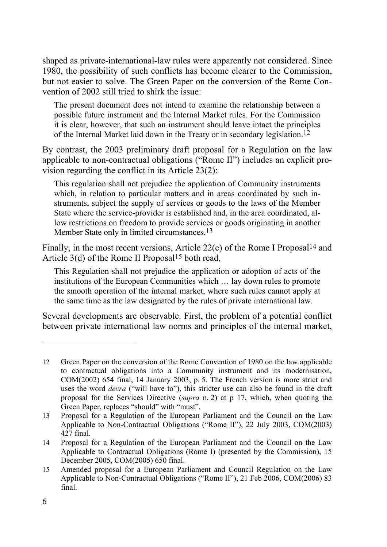shaped as private-international-law rules were apparently not considered. Since 1980, the possibility of such conflicts has become clearer to the Commission, but not easier to solve. The Green Paper on the conversion of the Rome Convention of 2002 still tried to shirk the issue:

The present document does not intend to examine the relationship between a possible future instrument and the Internal Market rules. For the Commission it is clear, however, that such an instrument should leave intact the principles of the Internal Market laid down in the Treaty or in secondary legislation.12

By contrast, the 2003 preliminary draft proposal for a Regulation on the law applicable to non-contractual obligations ("Rome II") includes an explicit provision regarding the conflict in its Article 23(2):

This regulation shall not prejudice the application of Community instruments which, in relation to particular matters and in areas coordinated by such instruments, subject the supply of services or goods to the laws of the Member State where the service-provider is established and, in the area coordinated, allow restrictions on freedom to provide services or goods originating in another Member State only in limited circumstances.<sup>13</sup>

Finally, in the most recent versions, Article 22(c) of the Rome I Proposal<sup>14</sup> and Article  $3(d)$  of the Rome II Proposal<sup>15</sup> both read,

This Regulation shall not prejudice the application or adoption of acts of the institutions of the European Communities which … lay down rules to promote the smooth operation of the internal market, where such rules cannot apply at the same time as the law designated by the rules of private international law.

Several developments are observable. First, the problem of a potential conflict between private international law norms and principles of the internal market,

<sup>12</sup> Green Paper on the conversion of the Rome Convention of 1980 on the law applicable to contractual obligations into a Community instrument and its modernisation, COM(2002) 654 final, 14 January 2003, p. 5. The French version is more strict and uses the word *devra* ("will have to"), this stricter use can also be found in the draft proposal for the Services Directive (*supra* n. 2) at p 17, which, when quoting the Green Paper, replaces "should" with "must".

<sup>13</sup> Proposal for a Regulation of the European Parliament and the Council on the Law Applicable to Non-Contractual Obligations ("Rome II"), 22 July 2003, COM(2003) 427 final.

<sup>14</sup> Proposal for a Regulation of the European Parliament and the Council on the Law Applicable to Contractual Obligations (Rome I) (presented by the Commission), 15 December 2005, COM(2005) 650 final.

<sup>15</sup> Amended proposal for a European Parliament and Council Regulation on the Law Applicable to Non-Contractual Obligations ("Rome II"), 21 Feb 2006, COM(2006) 83 final.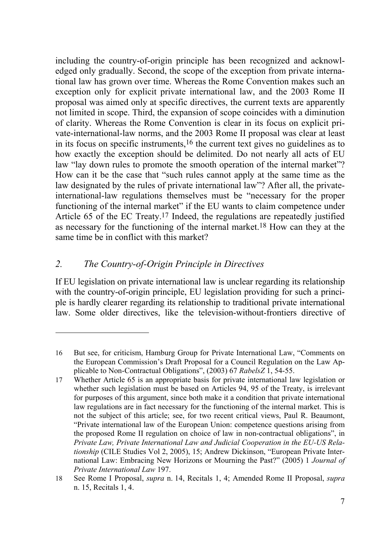including the country-of-origin principle has been recognized and acknowledged only gradually. Second, the scope of the exception from private international law has grown over time. Whereas the Rome Convention makes such an exception only for explicit private international law, and the 2003 Rome II proposal was aimed only at specific directives, the current texts are apparently not limited in scope. Third, the expansion of scope coincides with a diminution of clarity. Whereas the Rome Convention is clear in its focus on explicit private-international-law norms, and the 2003 Rome II proposal was clear at least in its focus on specific instruments,  $16$  the current text gives no guidelines as to how exactly the exception should be delimited. Do not nearly all acts of EU law "lay down rules to promote the smooth operation of the internal market"? How can it be the case that "such rules cannot apply at the same time as the law designated by the rules of private international law"? After all, the privateinternational-law regulations themselves must be "necessary for the proper functioning of the internal market" if the EU wants to claim competence under Article 65 of the EC Treaty.17 Indeed, the regulations are repeatedly justified as necessary for the functioning of the internal market.18 How can they at the same time be in conflict with this market?

## *2. The Country-of-Origin Principle in Directives*

 $\overline{a}$ 

If EU legislation on private international law is unclear regarding its relationship with the country-of-origin principle, EU legislation providing for such a principle is hardly clearer regarding its relationship to traditional private international law. Some older directives, like the television-without-frontiers directive of

<sup>16</sup> But see, for criticism, Hamburg Group for Private International Law, "Comments on the European Commission's Draft Proposal for a Council Regulation on the Law Applicable to Non-Contractual Obligations", (2003) 67 *RabelsZ* 1, 54-55.

<sup>17</sup> Whether Article 65 is an appropriate basis for private international law legislation or whether such legislation must be based on Articles 94, 95 of the Treaty, is irrelevant for purposes of this argument, since both make it a condition that private international law regulations are in fact necessary for the functioning of the internal market. This is not the subject of this article; see, for two recent critical views, Paul R. Beaumont, "Private international law of the European Union: competence questions arising from the proposed Rome II regulation on choice of law in non-contractual obligations", in *Private Law, Private International Law and Judicial Cooperation in the EU-US Relationship* (CILE Studies Vol 2, 2005), 15; Andrew Dickinson, "European Private International Law: Embracing New Horizons or Mourning the Past?" (2005) 1 *Journal of Private International Law* 197.

<sup>18</sup> See Rome I Proposal, *supra* n. 14, Recitals 1, 4; Amended Rome II Proposal, *supra*  n. 15, Recitals 1, 4.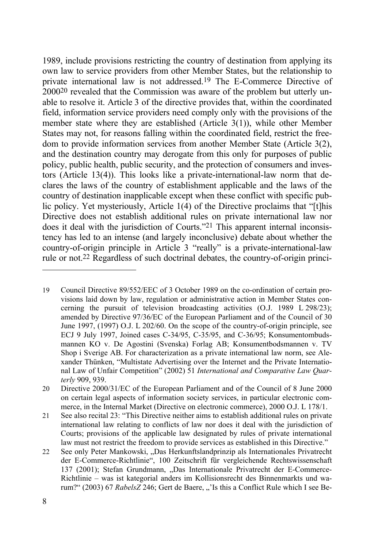1989, include provisions restricting the country of destination from applying its own law to service providers from other Member States, but the relationship to private international law is not addressed.19 The E-Commerce Directive of 200020 revealed that the Commission was aware of the problem but utterly unable to resolve it. Article 3 of the directive provides that, within the coordinated field, information service providers need comply only with the provisions of the member state where they are established (Article 3(1)), while other Member States may not, for reasons falling within the coordinated field, restrict the freedom to provide information services from another Member State (Article 3(2), and the destination country may derogate from this only for purposes of public policy, public health, public security, and the protection of consumers and investors (Article 13(4)). This looks like a private-international-law norm that declares the laws of the country of establishment applicable and the laws of the country of destination inapplicable except when these conflict with specific public policy. Yet mysteriously, Article 1(4) of the Directive proclaims that "[t]his Directive does not establish additional rules on private international law nor does it deal with the jurisdiction of Courts."21 This apparent internal inconsistency has led to an intense (and largely inconclusive) debate about whether the country-of-origin principle in Article 3 "really" is a private-international-law rule or not.22 Regardless of such doctrinal debates, the country-of-origin princi-

19 Council Directive 89/552/EEC of 3 October 1989 on the co-ordination of certain provisions laid down by law, regulation or administrative action in Member States concerning the pursuit of television broadcasting activities (O.J. 1989 L 298/23); amended by Directive 97/36/EC of the European Parliament and of the Council of 30 June 1997, (1997) O.J. L 202/60. On the scope of the country-of-origin principle, see ECJ 9 July 1997, Joined cases C-34/95, C-35/95, and C-36/95; Konsumentombudsmannen KO v. De Agostini (Svenska) Forlag AB; Konsumentbodsmannen v. TV Shop i Sverige AB. For characterization as a private international law norm, see Alexander Thünken, "Multistate Advertising over the Internet and the Private International Law of Unfair Competition" (2002) 51 *International and Comparative Law Quarterly* 909, 939.

<sup>20</sup> Directive 2000/31/EC of the European Parliament and of the Council of 8 June 2000 on certain legal aspects of information society services, in particular electronic commerce, in the Internal Market (Directive on electronic commerce), 2000 O.J. L 178/1.

<sup>21</sup> See also recital 23: "This Directive neither aims to establish additional rules on private international law relating to conflicts of law nor does it deal with the jurisdiction of Courts; provisions of the applicable law designated by rules of private international law must not restrict the freedom to provide services as established in this Directive."

<sup>22</sup> See only Peter Mankowski, "Das Herkunftslandprinzip als Internationales Privatrecht der E-Commerce-Richtlinie", 100 Zeitschrift für vergleichende Rechtswissenschaft 137 (2001); Stefan Grundmann, "Das Internationale Privatrecht der E-Commerce-Richtlinie – was ist kategorial anders im Kollisionsrecht des Binnenmarkts und warum?" (2003) 67 *RabelsZ* 246; Gert de Baere, "'Is this a Conflict Rule which I see Be-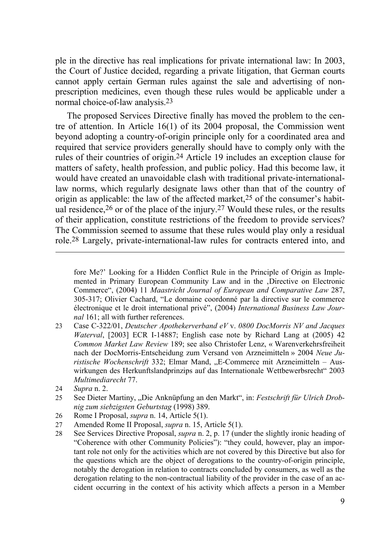ple in the directive has real implications for private international law: In 2003, the Court of Justice decided, regarding a private litigation, that German courts cannot apply certain German rules against the sale and advertising of nonprescription medicines, even though these rules would be applicable under a normal choice-of-law analysis.23

The proposed Services Directive finally has moved the problem to the centre of attention. In Article 16(1) of its 2004 proposal, the Commission went beyond adopting a country-of-origin principle only for a coordinated area and required that service providers generally should have to comply only with the rules of their countries of origin.24 Article 19 includes an exception clause for matters of safety, health profession, and public policy. Had this become law, it would have created an unavoidable clash with traditional private-internationallaw norms, which regularly designate laws other than that of the country of origin as applicable: the law of the affected market,25 of the consumer's habitual residence,26 or of the place of the injury.27 Would these rules, or the results of their application, constitute restrictions of the freedom to provide services? The Commission seemed to assume that these rules would play only a residual role.28 Largely, private-international-law rules for contracts entered into, and

- 23 Case C-322/01, *Deutscher Apothekerverband eV* v. *0800 DocMorris NV and Jacques Waterval*, [2003] ECR I-14887; English case note by Richard Lang at (2005) 42 *Common Market Law Review* 189; see also Christofer Lenz, « Warenverkehrsfreiheit nach der DocMorris-Entscheidung zum Versand von Arzneimitteln » 2004 *Neue Juristische Wochenschrift* 332; Elmar Mand, "E-Commerce mit Arzneimitteln – Auswirkungen des Herkunftslandprinzips auf das Internationale Wettbewerbsrecht" 2003 *Multimediarecht* 77.
- 24 *Supra* n. 2.

- 25 See Dieter Martiny, "Die Anknüpfung an den Markt", in: *Festschrift für Ulrich Drobnig zum siebzigsten Geburtstag* (1998) 389.
- 26 Rome I Proposal, *supra* n. 14, Article 5(1).
- 27 Amended Rome II Proposal, *supra* n. 15, Article 5(1).
- 28 See Services Directive Proposal, *supra* n. 2, p. 17 (under the slightly ironic heading of "Coherence with other Community Policies"): "they could, however, play an important role not only for the activities which are not covered by this Directive but also for the questions which are the object of derogations to the country-of-origin principle, notably the derogation in relation to contracts concluded by consumers, as well as the derogation relating to the non-contractual liability of the provider in the case of an accident occurring in the context of his activity which affects a person in a Member

fore Me?' Looking for a Hidden Conflict Rule in the Principle of Origin as Implemented in Primary European Community Law and in the .Directive on Electronic Commerce", (2004) 11 *Maastricht Journal of European and Comparative Law* 287, 305-317; Olivier Cachard, "Le domaine coordonné par la directive sur le commerce électronique et le droit international privé", (2004) *International Business Law Journal* 161; all with further references.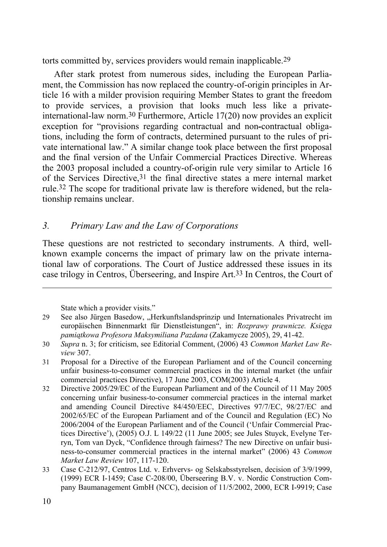torts committed by, services providers would remain inapplicable.29

After stark protest from numerous sides, including the European Parliament, the Commission has now replaced the country-of-origin principles in Article 16 with a milder provision requiring Member States to grant the freedom to provide services, a provision that looks much less like a privateinternational-law norm.30 Furthermore, Article 17(20) now provides an explicit exception for "provisions regarding contractual and non*-*contractual obligations, including the form of contracts, determined pursuant to the rules of private international law." A similar change took place between the first proposal and the final version of the Unfair Commercial Practices Directive. Whereas the 2003 proposal included a country-of-origin rule very similar to Article 16 of the Services Directive,31 the final directive states a mere internal market rule.32 The scope for traditional private law is therefore widened, but the relationship remains unclear.

## *3. Primary Law and the Law of Corporations*

These questions are not restricted to secondary instruments. A third, wellknown example concerns the impact of primary law on the private international law of corporations. The Court of Justice addressed these issues in its case trilogy in Centros, Überseering, and Inspire Art.33 In Centros, the Court of

State which a provider visits."

<u>.</u>

<sup>29</sup> See also Jürgen Basedow, "Herkunftslandsprinzip und Internationales Privatrecht im europäischen Binnenmarkt für Dienstleistungen", in: *Rozprawy prawnicze. Księga pamiątkowa Profesora Maksymiliana Pazdana* (Zakamycze 2005), 29, 41-42.

<sup>30</sup> *Supra* n. 3; for criticism, see Editorial Comment, (2006) 43 *Common Market Law Review* 307.

<sup>31</sup> Proposal for a Directive of the European Parliament and of the Council concerning unfair business-to-consumer commercial practices in the internal market (the unfair commercial practices Directive), 17 June 2003, COM(2003) Article 4.

<sup>32</sup> Directive 2005/29/EC of the European Parliament and of the Council of 11 May 2005 concerning unfair business-to-consumer commercial practices in the internal market and amending Council Directive 84/450/EEC, Directives 97/7/EC, 98/27/EC and 2002/65/EC of the European Parliament and of the Council and Regulation (EC) No 2006/2004 of the European Parliament and of the Council ('Unfair Commercial Practices Directive'), (2005) O.J. L 149/22 (11 June 2005; see Jules Stuyck, Evelyne Terryn, Tom van Dyck, "Confidence through fairness? The new Directive on unfair business-to-consumer commercial practices in the internal market" (2006) 43 *Common Market Law Review* 107, 117-120.

<sup>33</sup> Case C-212/97, Centros Ltd. v. Erhvervs- og Selskabsstyrelsen, decision of 3/9/1999, (1999) ECR I-1459; Case C-208/00, Überseering B.V. v. Nordic Construction Company Baumanagement GmbH (NCC), decision of 11/5/2002, 2000, ECR I-9919; Case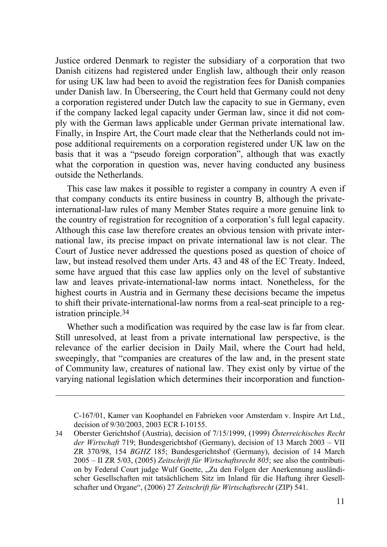Justice ordered Denmark to register the subsidiary of a corporation that two Danish citizens had registered under English law, although their only reason for using UK law had been to avoid the registration fees for Danish companies under Danish law. In Überseering, the Court held that Germany could not deny a corporation registered under Dutch law the capacity to sue in Germany, even if the company lacked legal capacity under German law, since it did not comply with the German laws applicable under German private international law. Finally, in Inspire Art, the Court made clear that the Netherlands could not impose additional requirements on a corporation registered under UK law on the basis that it was a "pseudo foreign corporation", although that was exactly what the corporation in question was, never having conducted any business outside the Netherlands.

This case law makes it possible to register a company in country A even if that company conducts its entire business in country B, although the privateinternational-law rules of many Member States require a more genuine link to the country of registration for recognition of a corporation's full legal capacity. Although this case law therefore creates an obvious tension with private international law, its precise impact on private international law is not clear. The Court of Justice never addressed the questions posed as question of choice of law, but instead resolved them under Arts. 43 and 48 of the EC Treaty. Indeed, some have argued that this case law applies only on the level of substantive law and leaves private-international-law norms intact. Nonetheless, for the highest courts in Austria and in Germany these decisions became the impetus to shift their private-international-law norms from a real-seat principle to a registration principle.34

Whether such a modification was required by the case law is far from clear. Still unresolved, at least from a private international law perspective, is the relevance of the earlier decision in Daily Mail, where the Court had held, sweepingly, that "companies are creatures of the law and, in the present state of Community law, creatures of national law. They exist only by virtue of the varying national legislation which determines their incorporation and function-

C-167/01, Kamer van Koophandel en Fabrieken voor Amsterdam v. Inspire Art Ltd., decision of 9/30/2003, 2003 ECR I-10155.

<sup>34</sup> Oberster Gerichtshof (Austria), decision of 7/15/1999, (1999) *Österreichisches Recht der Wirtschaft* 719; Bundesgerichtshof (Germany), decision of 13 March 2003 – VII ZR 370/98, 154 *BGHZ* 185; Bundesgerichtshof (Germany), decision of 14 March 2005 – II ZR 5/03, (2005) *Zeitschrift für Wirtschaftsrecht 805*; see also the contribution by Federal Court judge Wulf Goette, "Zu den Folgen der Anerkennung ausländischer Gesellschaften mit tatsächlichem Sitz im Inland für die Haftung ihrer Gesellschafter und Organe", (2006) 27 *Zeitschrift für Wirtschaftsrecht* (ZIP) 541.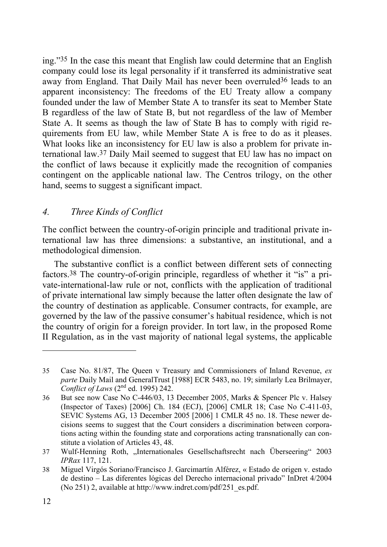ing."35 In the case this meant that English law could determine that an English company could lose its legal personality if it transferred its administrative seat away from England. That Daily Mail has never been overruled<sup>36</sup> leads to an apparent inconsistency: The freedoms of the EU Treaty allow a company founded under the law of Member State A to transfer its seat to Member State B regardless of the law of State B, but not regardless of the law of Member State A. It seems as though the law of State B has to comply with rigid requirements from EU law, while Member State A is free to do as it pleases. What looks like an inconsistency for EU law is also a problem for private international law.37 Daily Mail seemed to suggest that EU law has no impact on the conflict of laws because it explicitly made the recognition of companies contingent on the applicable national law. The Centros trilogy, on the other hand, seems to suggest a significant impact.

## *4. Three Kinds of Conflict*

The conflict between the country-of-origin principle and traditional private international law has three dimensions: a substantive, an institutional, and a methodological dimension.

The substantive conflict is a conflict between different sets of connecting factors.38 The country-of-origin principle, regardless of whether it "is" a private-international-law rule or not, conflicts with the application of traditional of private international law simply because the latter often designate the law of the country of destination as applicable. Consumer contracts, for example, are governed by the law of the passive consumer's habitual residence, which is not the country of origin for a foreign provider. In tort law, in the proposed Rome II Regulation, as in the vast majority of national legal systems, the applicable

<sup>35</sup> Case No. 81/87, The Queen v Treasury and Commissioners of Inland Revenue, *ex parte* Daily Mail and GeneralTrust [1988] ECR 5483, no. 19; similarly Lea Brilmayer, Conflict of Laws  $(2^{nd}$  ed. 1995) 242.

<sup>36</sup> But see now Case No C-446/03, 13 December 2005, Marks & Spencer Plc v. Halsey (Inspector of Taxes) [2006] Ch. 184 (ECJ), [2006] CMLR 18; Case No C-411-03, SEVIC Systems AG, 13 December 2005 [2006] 1 CMLR 45 no. 18. These newer decisions seems to suggest that the Court considers a discrimination between corporations acting within the founding state and corporations acting transnationally can constitute a violation of Articles 43, 48.

<sup>37</sup> Wulf-Henning Roth, "Internationales Gesellschaftsrecht nach Überseering" 2003 *IPRax* 117, 121.

<sup>38</sup> Miguel Virgós Soriano/Francisco J. Garcimartín Alférez, « Estado de origen v. estado de destino – Las diferentes lógicas del Derecho internacional privado" InDret 4/2004 (No 251) 2, available at http://www.indret.com/pdf/251\_es.pdf.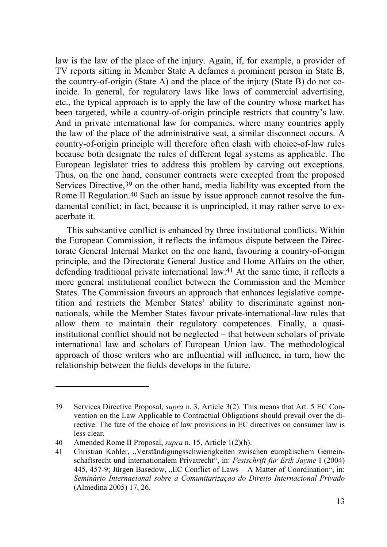law is the law of the place of the injury. Again, if, for example, a provider of TV reports sitting in Member State A defames a prominent person in State B, the country-of-origin (State A) and the place of the injury (State B) do not coincide. In general, for regulatory laws like laws of commercial advertising, etc., the typical approach is to apply the law of the country whose market has been targeted, while a country-of-origin principle restricts that country's law. And in private international law for companies, where many countries apply the law of the place of the administrative seat, a similar disconnect occurs. A country-of-origin principle will therefore often clash with choice-of-law rules because both designate the rules of different legal systems as applicable. The European legislator tries to address this problem by carving out exceptions. Thus, on the one hand, consumer contracts were excepted from the proposed Services Directive,<sup>39</sup> on the other hand, media liability was excepted from the Rome II Regulation.<sup>40</sup> Such an issue by issue approach cannot resolve the fundamental conflict; in fact, because it is unprincipled, it may rather serve to exacerbate it.

This substantive conflict is enhanced by three institutional conflicts. Within the European Commission, it reflects the infamous dispute between the Directorate General Internal Market on the one hand, favouring a country-of-origin principle, and the Directorate General Justice and Home Affairs on the other, defending traditional private international law.41 At the same time, it reflects a more general institutional conflict between the Commission and the Member States. The Commission favours an approach that enhances legislative competition and restricts the Member States' ability to discriminate against nonnationals, while the Member States favour private-international-law rules that allow them to maintain their regulatory competences. Finally, a quasiinstitutional conflict should not be neglected – that between scholars of private international law and scholars of European Union law. The methodological approach of those writers who are influential will influence, in turn, how the relationship between the fields develops in the future.

<sup>39</sup> Services Directive Proposal, *supra* n. 3, Article 3(2). This means that Art. 5 EC Convention on the Law Applicable to Contractual Obligations should prevail over the directive. The fate of the choice of law provisions in EC directives on consumer law is less clear.

<sup>40</sup> Amended Rome II Proposal, *supra* n. 15, Article 1(2)(h).

<sup>41</sup> Christian Kohler, "Verständigungsschwierigkeiten zwischen europäischem Gemeinschaftsrecht und internationalem Privatrecht", in: *Festschrift für Erik Jayme* I (2004) 445, 457-9; Jürgen Basedow, "EC Conflict of Laws – A Matter of Coordination", in: *Seminàrio Internacional sobre a Comunitarizaçao do Direito Internacional Privado* (Almedina 2005) 17, 26.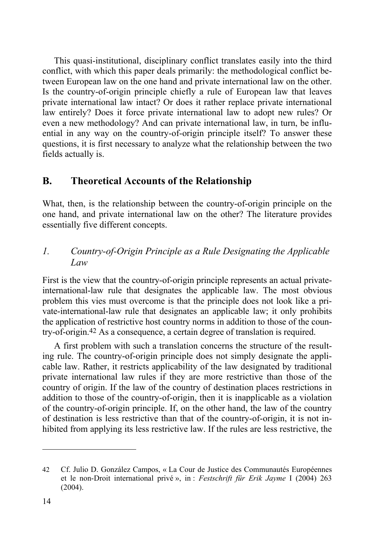This quasi-institutional, disciplinary conflict translates easily into the third conflict, with which this paper deals primarily: the methodological conflict between European law on the one hand and private international law on the other. Is the country-of-origin principle chiefly a rule of European law that leaves private international law intact? Or does it rather replace private international law entirely? Does it force private international law to adopt new rules? Or even a new methodology? And can private international law, in turn, be influential in any way on the country-of-origin principle itself? To answer these questions, it is first necessary to analyze what the relationship between the two fields actually is.

### **B. Theoretical Accounts of the Relationship**

What, then, is the relationship between the country-of-origin principle on the one hand, and private international law on the other? The literature provides essentially five different concepts.

### *1. Country-of-Origin Principle as a Rule Designating the Applicable Law*

First is the view that the country-of-origin principle represents an actual privateinternational-law rule that designates the applicable law. The most obvious problem this vies must overcome is that the principle does not look like a private-international-law rule that designates an applicable law; it only prohibits the application of restrictive host country norms in addition to those of the country-of-origin.42 As a consequence, a certain degree of translation is required.

A first problem with such a translation concerns the structure of the resulting rule. The country-of-origin principle does not simply designate the applicable law. Rather, it restricts applicability of the law designated by traditional private international law rules if they are more restrictive than those of the country of origin. If the law of the country of destination places restrictions in addition to those of the country-of-origin, then it is inapplicable as a violation of the country-of-origin principle. If, on the other hand, the law of the country of destination is less restrictive than that of the country-of-origin, it is not inhibited from applying its less restrictive law. If the rules are less restrictive, the

<sup>42</sup> Cf. Julio D. González Campos, « La Cour de Justice des Communautés Européennes et le non-Droit international privé », in : *Festschrift für Erik Jayme* I (2004) 263 (2004).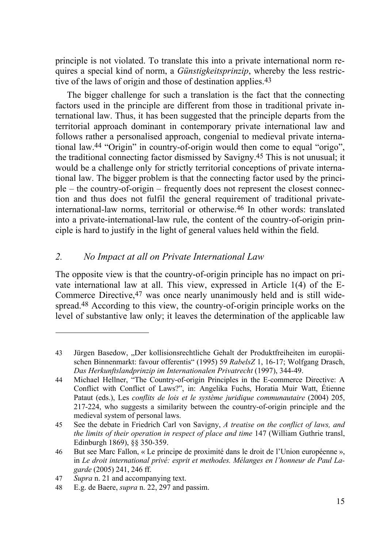principle is not violated. To translate this into a private international norm requires a special kind of norm, a *Günstigkeitsprinzip*, whereby the less restrictive of the laws of origin and those of destination applies.<sup>43</sup>

The bigger challenge for such a translation is the fact that the connecting factors used in the principle are different from those in traditional private international law. Thus, it has been suggested that the principle departs from the territorial approach dominant in contemporary private international law and follows rather a personalised approach, congenial to medieval private international law.44 "Origin" in country-of-origin would then come to equal "origo", the traditional connecting factor dismissed by Savigny.45 This is not unusual; it would be a challenge only for strictly territorial conceptions of private international law. The bigger problem is that the connecting factor used by the principle – the country-of-origin – frequently does not represent the closest connection and thus does not fulfil the general requirement of traditional privateinternational-law norms, territorial or otherwise.46 In other words: translated into a private-international-law rule, the content of the country-of-origin principle is hard to justify in the light of general values held within the field.

## *2. No Impact at all on Private International Law*

The opposite view is that the country-of-origin principle has no impact on private international law at all. This view, expressed in Article 1(4) of the E-Commerce Directive,47 was once nearly unanimously held and is still widespread.48 According to this view, the country-of-origin principle works on the level of substantive law only; it leaves the determination of the applicable law

<sup>43</sup> Jürgen Basedow, "Der kollisionsrechtliche Gehalt der Produktfreiheiten im europäischen Binnenmarkt: favour offerentis" (1995) 59 *RabelsZ* 1, 16-17; Wolfgang Drasch, *Das Herkunftslandprinzip im Internationalen Privatrecht* (1997), 344-49.

<sup>44</sup> Michael Hellner, "The Country-of-origin Principles in the E-commerce Directive: A Conflict with Conflict of Laws?", in: Angelika Fuchs, Horatia Muir Watt, Étienne Pataut (eds.), Les *conflits de lois et le système juridique communautaire* (2004) 205, 217-224, who suggests a similarity between the country-of-origin principle and the medieval system of personal laws.

<sup>45</sup> See the debate in Friedrich Carl von Savigny, *A treatise on the conflict of laws, and the limits of their operation in respect of place and time* 147 (William Guthrie transl, Edinburgh 1869), §§ 350-359.

<sup>46</sup> But see Marc Fallon, « Le principe de proximité dans le droit de l'Union européenne », in *Le droit international privé: esprit et methodes. Mélanges en l'honneur de Paul Lagarde* (2005) 241, 246 ff.

<sup>47</sup> *Supra* n. 21 and accompanying text.

<sup>48</sup> E.g. de Baere, *supra* n. 22, 297 and passim.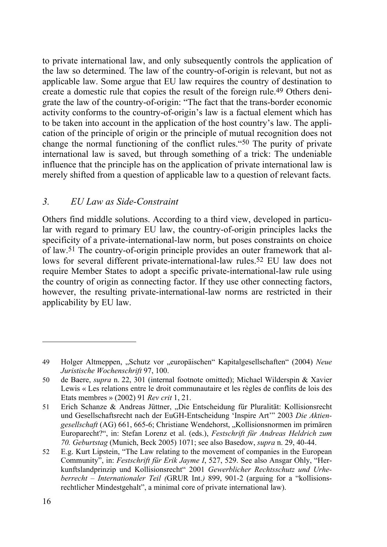to private international law, and only subsequently controls the application of the law so determined. The law of the country-of-origin is relevant, but not as applicable law. Some argue that EU law requires the country of destination to create a domestic rule that copies the result of the foreign rule.49 Others denigrate the law of the country-of-origin: "The fact that the trans-border economic activity conforms to the country-of-origin's law is a factual element which has to be taken into account in the application of the host country's law. The application of the principle of origin or the principle of mutual recognition does not change the normal functioning of the conflict rules."50 The purity of private international law is saved, but through something of a trick: The undeniable influence that the principle has on the application of private international law is merely shifted from a question of applicable law to a question of relevant facts.

## *3. EU Law as Side-Constraint*

Others find middle solutions. According to a third view, developed in particular with regard to primary EU law, the country-of-origin principles lacks the specificity of a private-international-law norm, but poses constraints on choice of law.51 The country-of-origin principle provides an outer framework that allows for several different private-international-law rules.52 EU law does not require Member States to adopt a specific private-international-law rule using the country of origin as connecting factor. If they use other connecting factors, however, the resulting private-international-law norms are restricted in their applicability by EU law.

<sup>49</sup> Holger Altmeppen, "Schutz vor "europäischen" Kapitalgesellschaften" (2004) *Neue Juristische Wochenschrift* 97, 100.

<sup>50</sup> de Baere, *supra* n. 22, 301 (internal footnote omitted); Michael Wilderspin & Xavier Lewis « Les relations entre le droit communautaire et les règles de conflits de lois des Etats membres » (2002) 91 *Rev crit* 1, 21.

<sup>51</sup> Erich Schanze & Andreas Jüttner, "Die Entscheidung für Pluralität: Kollisionsrecht und Gesellschaftsrecht nach der EuGH-Entscheidung 'Inspire Art'" 2003 *Die Aktiengesellschaft* (AG) 661, 665-6; Christiane Wendehorst, "Kollisionsnormen im primären Europarecht?", in: Stefan Lorenz et al. (eds.), *Festschrift für Andreas Heldrich zum 70. Geburtstag* (Munich, Beck 2005) 1071; see also Basedow, *supra* n. 29, 40-44.

<sup>52</sup> E.g. Kurt Lipstein, "The Law relating to the movement of companies in the European Community", in: *Festschrift für Erik Jayme I*, 527, 529. See also Ansgar Ohly, "Herkunftslandprinzip und Kollisionsrecht" 2001 *Gewerblicher Rechtsschutz und Urheberrecht – Internationaler Teil (*GRUR Int.*)* 899, 901-2 (arguing for a "kollisionsrechtlicher Mindestgehalt", a minimal core of private international law).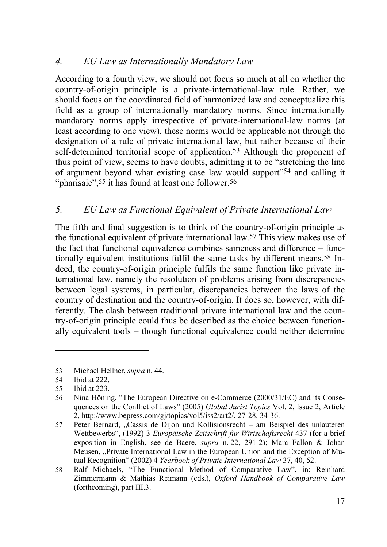### *4. EU Law as Internationally Mandatory Law*

According to a fourth view, we should not focus so much at all on whether the country-of-origin principle is a private-international-law rule. Rather, we should focus on the coordinated field of harmonized law and conceptualize this field as a group of internationally mandatory norms. Since internationally mandatory norms apply irrespective of private-international-law norms (at least according to one view), these norms would be applicable not through the designation of a rule of private international law, but rather because of their self-determined territorial scope of application.53 Although the proponent of thus point of view, seems to have doubts, admitting it to be "stretching the line of argument beyond what existing case law would support"54 and calling it "pharisaic", 55 it has found at least one follower. 56

## *5. EU Law as Functional Equivalent of Private International Law*

The fifth and final suggestion is to think of the country-of-origin principle as the functional equivalent of private international law.57 This view makes use of the fact that functional equivalence combines sameness and difference – functionally equivalent institutions fulfil the same tasks by different means.58 Indeed, the country-of-origin principle fulfils the same function like private international law, namely the resolution of problems arising from discrepancies between legal systems, in particular, discrepancies between the laws of the country of destination and the country-of-origin. It does so, however, with differently. The clash between traditional private international law and the country-of-origin principle could thus be described as the choice between functionally equivalent tools – though functional equivalence could neither determine

<sup>53</sup> Michael Hellner, *supra* n. 44.

<sup>54</sup> Ibid at 222.

<sup>55</sup> Ibid at 223.

<sup>56</sup> Nina Höning, "The European Directive on e-Commerce (2000/31/EC) and its Consequences on the Conflict of Laws" (2005) *Global Jurist Topics* Vol. 2, Issue 2, Article 2, http://www.bepress.com/gj/topics/vol5/iss2/art2/, 27-28, 34-36.

<sup>57</sup> Peter Bernard, "Cassis de Dijon und Kollisionsrecht – am Beispiel des unlauteren Wettbewerbs", (1992) 3 *Europäische Zeitschrift für Wirtschaftsrecht* 437 (for a brief exposition in English, see de Baere, *supra* n. 22, 291-2); Marc Fallon & Johan Meusen, "Private International Law in the European Union and the Exception of Mutual Recognition" (2002) 4 *Yearbook of Private International Law* 37, 40, 52.

<sup>58</sup> Ralf Michaels, "The Functional Method of Comparative Law", in: Reinhard Zimmermann & Mathias Reimann (eds.), *Oxford Handbook of Comparative Law* (forthcoming), part III.3.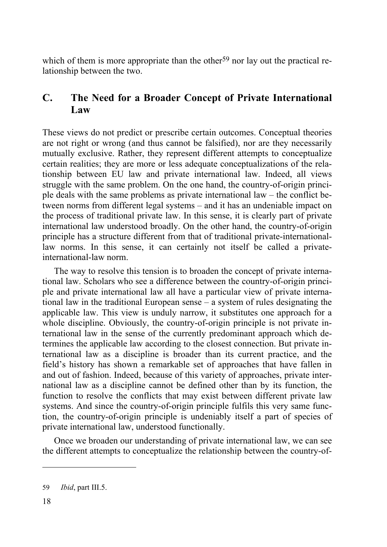which of them is more appropriate than the other<sup>59</sup> nor lay out the practical relationship between the two.

## **C. The Need for a Broader Concept of Private International Law**

These views do not predict or prescribe certain outcomes. Conceptual theories are not right or wrong (and thus cannot be falsified), nor are they necessarily mutually exclusive. Rather, they represent different attempts to conceptualize certain realities; they are more or less adequate conceptualizations of the relationship between EU law and private international law. Indeed, all views struggle with the same problem. On the one hand, the country-of-origin principle deals with the same problems as private international law – the conflict between norms from different legal systems – and it has an undeniable impact on the process of traditional private law. In this sense, it is clearly part of private international law understood broadly. On the other hand, the country-of-origin principle has a structure different from that of traditional private-internationallaw norms. In this sense, it can certainly not itself be called a privateinternational-law norm.

The way to resolve this tension is to broaden the concept of private international law. Scholars who see a difference between the country-of-origin principle and private international law all have a particular view of private international law in the traditional European sense – a system of rules designating the applicable law. This view is unduly narrow, it substitutes one approach for a whole discipline. Obviously, the country-of-origin principle is not private international law in the sense of the currently predominant approach which determines the applicable law according to the closest connection. But private international law as a discipline is broader than its current practice, and the field's history has shown a remarkable set of approaches that have fallen in and out of fashion. Indeed, because of this variety of approaches, private international law as a discipline cannot be defined other than by its function, the function to resolve the conflicts that may exist between different private law systems. And since the country-of-origin principle fulfils this very same function, the country-of-origin principle is undeniably itself a part of species of private international law, understood functionally.

Once we broaden our understanding of private international law, we can see the different attempts to conceptualize the relationship between the country-of-

<sup>59</sup> *Ibid*, part III.5.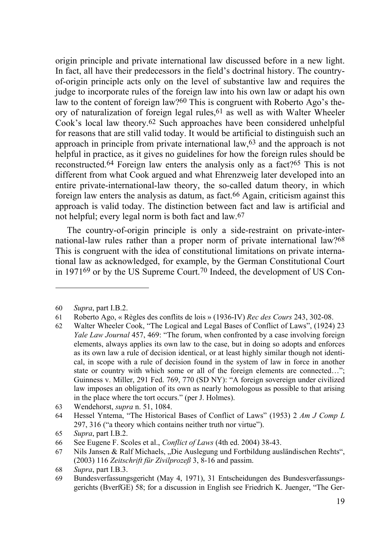origin principle and private international law discussed before in a new light. In fact, all have their predecessors in the field's doctrinal history. The countryof-origin principle acts only on the level of substantive law and requires the judge to incorporate rules of the foreign law into his own law or adapt his own law to the content of foreign law?60 This is congruent with Roberto Ago's theory of naturalization of foreign legal rules,<sup>61</sup> as well as with Walter Wheeler Cook's local law theory.62 Such approaches have been considered unhelpful for reasons that are still valid today. It would be artificial to distinguish such an approach in principle from private international law,63 and the approach is not helpful in practice, as it gives no guidelines for how the foreign rules should be reconstructed.64 Foreign law enters the analysis only as a fact?65 This is not different from what Cook argued and what Ehrenzweig later developed into an entire private-international-law theory, the so-called datum theory, in which foreign law enters the analysis as datum, as fact.66 Again, criticism against this approach is valid today. The distinction between fact and law is artificial and not helpful; every legal norm is both fact and law.67

The country-of-origin principle is only a side-restraint on private-international-law rules rather than a proper norm of private international law?68 This is congruent with the idea of constitutional limitations on private international law as acknowledged, for example, by the German Constitutional Court in 197169 or by the US Supreme Court.70 Indeed, the development of US Con-

- 63 Wendehorst, *supra* n. 51, 1084.
- 64 Hessel Yntema, "The Historical Bases of Conflict of Laws" (1953) 2 *Am J Comp L* 297, 316 ("a theory which contains neither truth nor virtue").
- 65 *Supra*, part I.B.2.

<sup>60</sup> *Supra*, part I.B.2.

<sup>61</sup> Roberto Ago, « Règles des conflits de lois » (1936-IV) *Rec des Cours* 243, 302-08.

<sup>62</sup> Walter Wheeler Cook, "The Logical and Legal Bases of Conflict of Laws", (1924) 23 *Yale Law Journal* 457, 469: "The forum, when confronted by a case involving foreign elements, always applies its own law to the case, but in doing so adopts and enforces as its own law a rule of decision identical, or at least highly similar though not identical, in scope with a rule of decision found in the system of law in force in another state or country with which some or all of the foreign elements are connected…"; Guinness v. Miller, 291 Fed. 769, 770 (SD NY): "A foreign sovereign under civilized law imposes an obligation of its own as nearly homologous as possible to that arising in the place where the tort occurs." (per J. Holmes).

<sup>66</sup> See Eugene F. Scoles et al., *Conflict of Laws* (4th ed. 2004) 38-43.

<sup>67</sup> Nils Jansen & Ralf Michaels, "Die Auslegung und Fortbildung ausländischen Rechts", (2003) 116 *Zeitschrift für Zivilprozeß* 3, 8-16 and passim.

<sup>68</sup> *Supra*, part I.B.3.

<sup>69</sup> Bundesverfassungsgericht (May 4, 1971), 31 Entscheidungen des Bundesverfassungsgerichts (BverfGE) 58; for a discussion in English see Friedrich K. Juenger, "The Ger-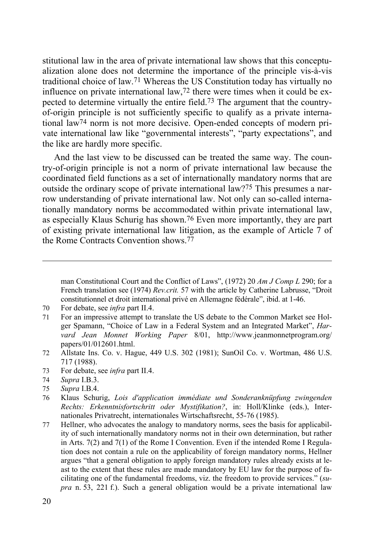stitutional law in the area of private international law shows that this conceptualization alone does not determine the importance of the principle vis-à-vis traditional choice of law.71 Whereas the US Constitution today has virtually no influence on private international law,72 there were times when it could be expected to determine virtually the entire field.73 The argument that the countryof-origin principle is not sufficiently specific to qualify as a private international law74 norm is not more decisive. Open-ended concepts of modern private international law like "governmental interests", "party expectations", and the like are hardly more specific.

And the last view to be discussed can be treated the same way. The country-of-origin principle is not a norm of private international law because the coordinated field functions as a set of internationally mandatory norms that are outside the ordinary scope of private international law?75 This presumes a narrow understanding of private international law. Not only can so-called internationally mandatory norms be accommodated within private international law, as especially Klaus Schurig has shown.76 Even more importantly, they are part of existing private international law litigation, as the example of Article 7 of the Rome Contracts Convention shows.77

man Constitutional Court and the Conflict of Laws", (1972) 20 *Am J Comp L* 290; for a French translation see (1974) *Rev.crit.* 57 with the article by Catherine Labrusse, "Droit constitutionnel et droit international privé en Allemagne fédérale", ibid. at 1-46.

- 70 For debate, see *infra* part II.4.
- 71 For an impressive attempt to translate the US debate to the Common Market see Holger Spamann, "Choice of Law in a Federal System and an Integrated Market", *Harvard Jean Monnet Working Paper* 8/01, http://www.jeanmonnetprogram.org/ papers/01/012601.html.
- 72 Allstate Ins. Co. v. Hague, 449 U.S. 302 (1981); SunOil Co. v. Wortman, 486 U.S. 717 (1988).
- 73 For debate, see *infra* part II.4.
- 74 *Supra* I.B.3.
- 75 *Supra* I.B.4.
- 76 Klaus Schurig, *Lois d'application immédiate und Sonderanknüpfung zwingenden Rechts: Erkenntnisfortschritt oder Mystifikation?*, in: Holl/Klinke (eds.), Internationales Privatrecht, internationales Wirtschaftsrecht, 55-76 (1985).
- 77 Hellner, who advocates the analogy to mandatory norms, sees the basis for applicability of such internationally mandatory norms not in their own determination, but rather in Arts. 7(2) and 7(1) of the Rome I Convention. Even if the intended Rome I Regulation does not contain a rule on the applicability of foreign mandatory norms, Hellner argues "that a general obligation to apply foreign mandatory rules already exists at least to the extent that these rules are made mandatory by EU law for the purpose of facilitating one of the fundamental freedoms, viz. the freedom to provide services." (*supra* n. 53, 221 f.). Such a general obligation would be a private international law

1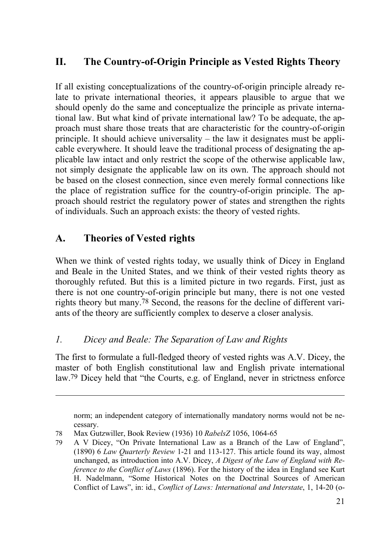# **II. The Country-of-Origin Principle as Vested Rights Theory**

If all existing conceptualizations of the country-of-origin principle already relate to private international theories, it appears plausible to argue that we should openly do the same and conceptualize the principle as private international law. But what kind of private international law? To be adequate, the approach must share those treats that are characteristic for the country-of-origin principle. It should achieve universality – the law it designates must be applicable everywhere. It should leave the traditional process of designating the applicable law intact and only restrict the scope of the otherwise applicable law, not simply designate the applicable law on its own. The approach should not be based on the closest connection, since even merely formal connections like the place of registration suffice for the country-of-origin principle. The approach should restrict the regulatory power of states and strengthen the rights of individuals. Such an approach exists: the theory of vested rights.

## **A. Theories of Vested rights**

 $\overline{a}$ 

When we think of vested rights today, we usually think of Dicey in England and Beale in the United States, and we think of their vested rights theory as thoroughly refuted. But this is a limited picture in two regards. First, just as there is not one country-of-origin principle but many, there is not one vested rights theory but many.78 Second, the reasons for the decline of different variants of the theory are sufficiently complex to deserve a closer analysis.

## *1. Dicey and Beale: The Separation of Law and Rights*

The first to formulate a full-fledged theory of vested rights was A.V. Dicey, the master of both English constitutional law and English private international law.79 Dicey held that "the Courts, e.g. of England, never in strictness enforce

norm; an independent category of internationally mandatory norms would not be necessary.

<sup>78</sup> Max Gutzwiller, Book Review (1936) 10 *RabelsZ* 1056, 1064-65

<sup>79</sup> A V Dicey, "On Private International Law as a Branch of the Law of England", (1890) 6 *Law Quarterly Review* 1-21 and 113-127. This article found its way, almost unchanged, as introduction into A.V. Dicey, *A Digest of the Law of England with Reference to the Conflict of Laws* (1896). For the history of the idea in England see Kurt H. Nadelmann, "Some Historical Notes on the Doctrinal Sources of American Conflict of Laws", in: id., *Conflict of Laws: International and Interstate*, 1, 14-20 (o-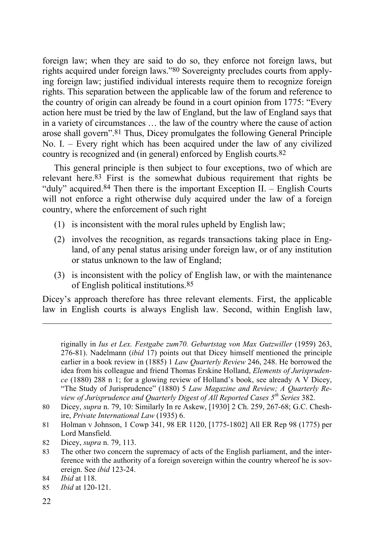foreign law; when they are said to do so, they enforce not foreign laws, but rights acquired under foreign laws."80 Sovereignty precludes courts from applying foreign law; justified individual interests require them to recognize foreign rights. This separation between the applicable law of the forum and reference to the country of origin can already be found in a court opinion from 1775: "Every action here must be tried by the law of England, but the law of England says that in a variety of circumstances … the law of the country where the cause of action arose shall govern".81 Thus, Dicey promulgates the following General Principle No. I. – Every right which has been acquired under the law of any civilized country is recognized and (in general) enforced by English courts.82

This general principle is then subject to four exceptions, two of which are relevant here.83 First is the somewhat dubious requirement that rights be "duly" acquired.84 Then there is the important Exception II. – English Courts will not enforce a right otherwise duly acquired under the law of a foreign country, where the enforcement of such right

- (1) is inconsistent with the moral rules upheld by English law;
- (2) involves the recognition, as regards transactions taking place in England, of any penal status arising under foreign law, or of any institution or status unknown to the law of England;
- (3) is inconsistent with the policy of English law, or with the maintenance of English political institutions.85

Dicey's approach therefore has three relevant elements. First, the applicable law in English courts is always English law. Second, within English law,

riginally in *Ius et Lex. Festgabe zum70. Geburtstag von Max Gutzwiller* (1959) 263, 276-81). Nadelmann (*ibid* 17) points out that Dicey himself mentioned the principle earlier in a book review in (1885) 1 *Law Quarterly Review* 246, 248. He borrowed the idea from his colleague and friend Thomas Erskine Holland, *Elements of Jurisprudence* (1880) 288 n 1; for a glowing review of Holland's book, see already A V Dicey, "The Study of Jurisprudence" (1880) 5 *Law Magazine and Review; A Quarterly Review of Jurisprudence and Quarterly Digest of All Reported Cases 5th Series* 382.

1

<sup>80</sup> Dicey, *supra* n. 79, 10: Similarly In re Askew, [1930] 2 Ch. 259, 267-68; G.C. Cheshire, *Private International Law* (1935) 6.

<sup>81</sup> Holman v Johnson, 1 Cowp 341, 98 ER 1120, [1775-1802] All ER Rep 98 (1775) per Lord Mansfield.

<sup>82</sup> Dicey, *supra* n. 79, 113.

<sup>83</sup> The other two concern the supremacy of acts of the English parliament, and the interference with the authority of a foreign sovereign within the country whereof he is sovereign. See *ibid* 123-24.

<sup>84</sup> *Ibid* at 118.

<sup>85</sup> *Ibid* at 120-121.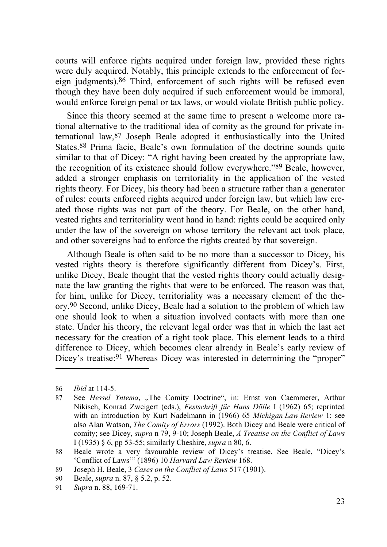courts will enforce rights acquired under foreign law, provided these rights were duly acquired. Notably, this principle extends to the enforcement of foreign judgments).86 Third, enforcement of such rights will be refused even though they have been duly acquired if such enforcement would be immoral, would enforce foreign penal or tax laws, or would violate British public policy.

Since this theory seemed at the same time to present a welcome more rational alternative to the traditional idea of comity as the ground for private international law,87 Joseph Beale adopted it enthusiastically into the United States.88 Prima facie, Beale's own formulation of the doctrine sounds quite similar to that of Dicey: "A right having been created by the appropriate law, the recognition of its existence should follow everywhere."89 Beale, however, added a stronger emphasis on territoriality in the application of the vested rights theory. For Dicey, his theory had been a structure rather than a generator of rules: courts enforced rights acquired under foreign law, but which law created those rights was not part of the theory. For Beale, on the other hand, vested rights and territoriality went hand in hand: rights could be acquired only under the law of the sovereign on whose territory the relevant act took place, and other sovereigns had to enforce the rights created by that sovereign.

Although Beale is often said to be no more than a successor to Dicey, his vested rights theory is therefore significantly different from Dicey's. First, unlike Dicey, Beale thought that the vested rights theory could actually designate the law granting the rights that were to be enforced. The reason was that, for him, unlike for Dicey, territoriality was a necessary element of the theory.90 Second, unlike Dicey, Beale had a solution to the problem of which law one should look to when a situation involved contacts with more than one state. Under his theory, the relevant legal order was that in which the last act necessary for the creation of a right took place. This element leads to a third difference to Dicey, which becomes clear already in Beale's early review of Dicey's treatise:<sup>91</sup> Whereas Dicey was interested in determining the "proper"

 $\overline{a}$ 

91 *Supra* n. 88, 169-71.

<sup>86</sup> *Ibid* at 114-5.

<sup>87</sup> See *Hessel Yntema*, "The Comity Doctrine", in: Ernst von Caemmerer, Arthur Nikisch, Konrad Zweigert (eds.), *Festschrift für Hans Dölle* I (1962) 65; reprinted with an introduction by Kurt Nadelmann in (1966) 65 *Michigan Law Review* 1; see also Alan Watson, *The Comity of Errors* (1992). Both Dicey and Beale were critical of comity; see Dicey, *supra* n 79, 9-10; Joseph Beale, *A Treatise on the Conflict of Laws* I (1935) § 6, pp 53-55; similarly Cheshire, *supra* n 80, 6.

<sup>88</sup> Beale wrote a very favourable review of Dicey's treatise. See Beale, "Dicey's 'Conflict of Laws'" (1896) 10 *Harvard Law Review* 168.

<sup>89</sup> Joseph H. Beale, 3 *Cases on the Conflict of Laws* 517 (1901).

<sup>90</sup> Beale, *supra* n. 87, § 5.2, p. 52.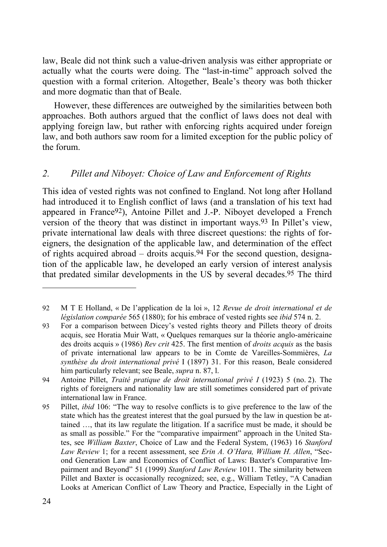law, Beale did not think such a value-driven analysis was either appropriate or actually what the courts were doing. The "last-in-time" approach solved the question with a formal criterion. Altogether, Beale's theory was both thicker and more dogmatic than that of Beale.

However, these differences are outweighed by the similarities between both approaches. Both authors argued that the conflict of laws does not deal with applying foreign law, but rather with enforcing rights acquired under foreign law, and both authors saw room for a limited exception for the public policy of the forum.

### *2. Pillet and Niboyet: Choice of Law and Enforcement of Rights*

This idea of vested rights was not confined to England. Not long after Holland had introduced it to English conflict of laws (and a translation of his text had appeared in France92), Antoine Pillet and J.-P. Niboyet developed a French version of the theory that was distinct in important ways.93 In Pillet's view, private international law deals with three discreet questions: the rights of foreigners, the designation of the applicable law, and determination of the effect of rights acquired abroad – droits acquis.<sup>94</sup> For the second question, designation of the applicable law, he developed an early version of interest analysis that predated similar developments in the US by several decades.95 The third

<sup>92</sup> M T E Holland, « De l'application de la loi », 12 *Revue de droit international et de législation comparée* 565 (1880); for his embrace of vested rights see *ibid* 574 n. 2.

<sup>93</sup> For a comparison between Dicey's vested rights theory and Pillets theory of droits acquis, see Horatia Muir Watt, « Quelques remarques sur la théorie anglo-américaine des droits acquis » (1986) *Rev crit* 425. The first mention of *droits acquis* as the basis of private international law appears to be in Comte de Vareilles-Sommières, *La synthèse du droit international privé* I (1897) 31. For this reason, Beale considered him particularly relevant; see Beale, *supra* n. 87, l.

<sup>94</sup> Antoine Pillet, *Traité pratique de droit international privé I* (1923) 5 (no. 2). The rights of foreigners and nationality law are still sometimes considered part of private international law in France.

<sup>95</sup> Pillet, *ibid* 106: "The way to resolve conflicts is to give preference to the law of the state which has the greatest interest that the goal pursued by the law in question be attained …, that its law regulate the litigation. If a sacrifice must be made, it should be as small as possible." For the "comparative impairment" approach in the United States, see *William Baxter*, Choice of Law and the Federal System, (1963) 16 *Stanford Law Review* 1; for a recent assessment, see *Erin A. O'Hara, William H. Allen*, "Second Generation Law and Economics of Conflict of Laws: Baxter's Comparative Impairment and Beyond" 51 (1999) *Stanford Law Review* 1011. The similarity between Pillet and Baxter is occasionally recognized; see, e.g., William Tetley, "A Canadian Looks at American Conflict of Law Theory and Practice, Especially in the Light of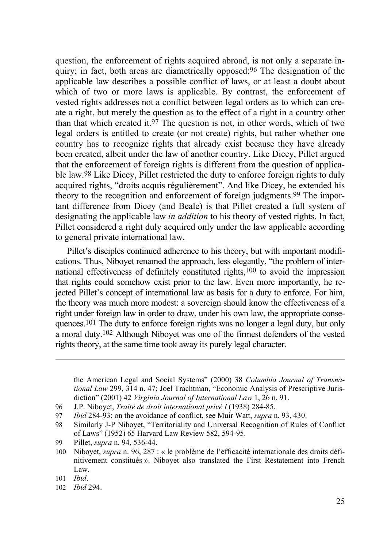question, the enforcement of rights acquired abroad, is not only a separate inquiry; in fact, both areas are diametrically opposed:96 The designation of the applicable law describes a possible conflict of laws, or at least a doubt about which of two or more laws is applicable. By contrast, the enforcement of vested rights addresses not a conflict between legal orders as to which can create a right, but merely the question as to the effect of a right in a country other than that which created it.97 The question is not, in other words, which of two legal orders is entitled to create (or not create) rights, but rather whether one country has to recognize rights that already exist because they have already been created, albeit under the law of another country. Like Dicey, Pillet argued that the enforcement of foreign rights is different from the question of applicable law.98 Like Dicey, Pillet restricted the duty to enforce foreign rights to duly acquired rights, "droits acquis régulièrement". And like Dicey, he extended his theory to the recognition and enforcement of foreign judgments.99 The important difference from Dicey (and Beale) is that Pillet created a full system of designating the applicable law *in addition* to his theory of vested rights. In fact, Pillet considered a right duly acquired only under the law applicable according to general private international law.

Pillet's disciples continued adherence to his theory, but with important modifications. Thus, Niboyet renamed the approach, less elegantly, "the problem of international effectiveness of definitely constituted rights,100 to avoid the impression that rights could somehow exist prior to the law. Even more importantly, he rejected Pillet's concept of international law as basis for a duty to enforce. For him, the theory was much more modest: a sovereign should know the effectiveness of a right under foreign law in order to draw, under his own law, the appropriate consequences.101 The duty to enforce foreign rights was no longer a legal duty, but only a moral duty.102 Although Niboyet was one of the firmest defenders of the vested rights theory, at the same time took away its purely legal character.

the American Legal and Social Systems" (2000) 38 *Columbia Journal of Transnational Law* 299, 314 n. 47; Joel Trachtman, "Economic Analysis of Prescriptive Jurisdiction" (2001) 42 *Virginia Journal of International Law* 1, 26 n. 91.

<sup>96</sup> J.P. Niboyet, *Traité de droit international privé I* (1938) 284-85.

<sup>97</sup> *Ibid* 284-93; on the avoidance of conflict, see Muir Watt, *supra* n. 93, 430.

<sup>98</sup> Similarly J-P Niboyet, "Territoriality and Universal Recognition of Rules of Conflict of Laws" (1952) 65 Harvard Law Review 582, 594-95.

<sup>99</sup> Pillet, *supra* n. 94, 536-44.

<sup>100</sup> Niboyet, *supra* n. 96, 287 : « le problème de l'efficacité internationale des droits définitivement constitués ». Niboyet also translated the First Restatement into French Law.

<sup>101</sup> *Ibid*.

<sup>102</sup> *Ibid* 294.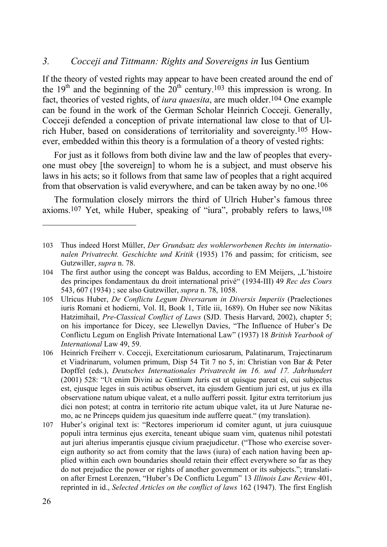#### *3. Cocceji and Tittmann: Rights and Sovereigns in* Ius Gentium

If the theory of vested rights may appear to have been created around the end of the  $19<sup>th</sup>$  and the beginning of the  $20<sup>th</sup>$  century.<sup>103</sup> this impression is wrong. In fact, theories of vested rights, of *iura quaesita*, are much older.104 One example can be found in the work of the German Scholar Heinrich Cocceji. Generally, Cocceji defended a conception of private international law close to that of Ulrich Huber, based on considerations of territoriality and sovereignty.105 However, embedded within this theory is a formulation of a theory of vested rights:

For just as it follows from both divine law and the law of peoples that everyone must obey [the sovereign] to whom he is a subject, and must observe his laws in his acts; so it follows from that same law of peoples that a right acquired from that observation is valid everywhere, and can be taken away by no one.106

The formulation closely mirrors the third of Ulrich Huber's famous three axioms.107 Yet, while Huber, speaking of "iura", probably refers to laws,108

<sup>103</sup> Thus indeed Horst Müller, *Der Grundsatz des wohlerworbenen Rechts im internationalen Privatrecht. Geschichte und Kritik* (1935) 176 and passim; for criticism, see Gutzwiller, *supra* n. 78.

<sup>104</sup> The first author using the concept was Baldus, according to EM Meijers, "L'histoire des principes fondamentaux du droit international privé" (1934-III) 49 *Rec des Cours* 543, 607 (1934) ; see also Gutzwiller, *supra* n. 78, 1058.

<sup>105</sup> Ulricus Huber, *De Conflictu Legum Diversarum in Diversis Imperiis* (Praelectiones iuris Romani et hodierni, Vol. II, Book 1, Title iii, 1689). On Huber see now Nikitas Hatzimihail, *Pre-Classical Conflict of Laws* (SJD. Thesis Harvard, 2002), chapter 5; on his importance for Dicey, see Llewellyn Davies, "The Influence of Huber's De Conflictu Legum on English Private International Law" (1937) 18 *British Yearbook of International* Law 49, 59.

<sup>106</sup> Heinrich Freiherr v. Cocceji, Exercitationum curiosarum, Palatinarum, Trajectinarum et Viadrinarum, volumen primum, Disp 54 Tit 7 no 5, in: Christian von Bar & Peter Dopffel (eds.), *Deutsches Internationales Privatrecht im 16. und 17. Jahrhundert* (2001) 528: "Ut enim Divini ac Gentium Juris est ut quisque pareat ei, cui subjectus est, ejusque leges in suis actibus observet, ita ejusdem Gentium juri est, ut jus ex illa observatione natum ubique valeat, et a nullo aufferri possit. Igitur extra territorium jus dici non potest; at contra in territorio rite actum ubique valet, ita ut Jure Naturae nemo, ac ne Princeps quidem jus quaesitum inde aufferre queat." (my translation).

<sup>107</sup> Huber's original text is: "Rectores imperiorum id comiter agunt, ut jura cuiusquue populi intra terminus ejus exercita, teneant ubique suam vim, quatenus nihil potestati aut juri alterius imperantis ejusque civium praejudicetur. ("Those who exercise sovereign authority so act from comity that the laws (iura) of each nation having been applied within each own boundaries should retain their effect everywhere so far as they do not prejudice the power or rights of another government or its subjects."; translation after Ernest Lorenzen, "Huber's De Conflictu Legum" 13 *Illinois Law Review* 401, reprinted in id., *Selected Articles on the conflict of laws* 162 (1947). The first English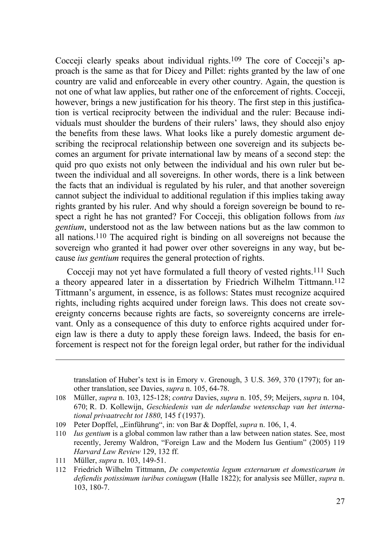Cocceji clearly speaks about individual rights.109 The core of Cocceji's approach is the same as that for Dicey and Pillet: rights granted by the law of one country are valid and enforceable in every other country. Again, the question is not one of what law applies, but rather one of the enforcement of rights. Cocceji, however, brings a new justification for his theory. The first step in this justification is vertical reciprocity between the individual and the ruler: Because individuals must shoulder the burdens of their rulers' laws, they should also enjoy the benefits from these laws. What looks like a purely domestic argument describing the reciprocal relationship between one sovereign and its subjects becomes an argument for private international law by means of a second step: the quid pro quo exists not only between the individual and his own ruler but between the individual and all sovereigns. In other words, there is a link between the facts that an individual is regulated by his ruler, and that another sovereign cannot subject the individual to additional regulation if this implies taking away rights granted by his ruler. And why should a foreign sovereign be bound to respect a right he has not granted? For Cocceji, this obligation follows from *ius gentium*, understood not as the law between nations but as the law common to all nations.110 The acquired right is binding on all sovereigns not because the sovereign who granted it had power over other sovereigns in any way, but because *ius gentium* requires the general protection of rights.

Cocceji may not yet have formulated a full theory of vested rights.111 Such a theory appeared later in a dissertation by Friedrich Wilhelm Tittmann.112 Tittmann's argument, in essence, is as follows: States must recognize acquired rights, including rights acquired under foreign laws. This does not create sovereignty concerns because rights are facts, so sovereignty concerns are irrelevant. Only as a consequence of this duty to enforce rights acquired under foreign law is there a duty to apply these foreign laws. Indeed, the basis for enforcement is respect not for the foreign legal order, but rather for the individual

- 109 Peter Dopffel, "Einführung", in: von Bar & Dopffel, *supra* n. 106, 1, 4.
- 110 *Ius gentium* is a global common law rather than a law between nation states. See, most recently, Jeremy Waldron, "Foreign Law and the Modern Ius Gentium" (2005) 119 *Harvard Law Review* 129, 132 ff.
- 111 Müller, *supra* n. 103, 149-51.

translation of Huber's text is in Emory v. Grenough, 3 U.S. 369, 370 (1797); for another translation, see Davies, *supra* n. 105, 64-78.

<sup>108</sup> Müller, *supra* n. 103, 125-128; *contra* Davies, *supra* n. 105, 59; Meijers, *supra* n. 104, 670; R. D. Kollewijn, *Geschiedenis van de nderlandse wetenschap van het international privaatrecht tot 1880*, 145 f (1937).

<sup>112</sup> Friedrich Wilhelm Tittmann, *De competentia legum externarum et domesticarum in defiendis potissimum iuribus coniugum* (Halle 1822); for analysis see Müller, *supra* n. 103, 180-7.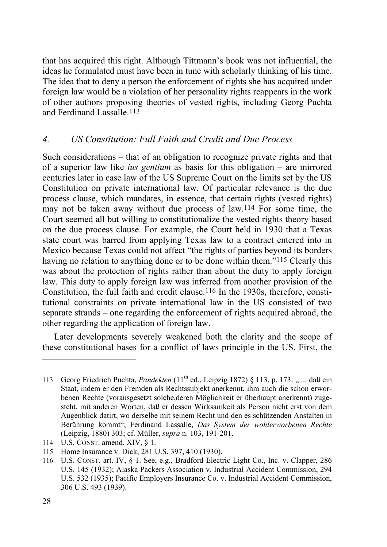that has acquired this right. Although Tittmann's book was not influential, the ideas he formulated must have been in tune with scholarly thinking of his time. The idea that to deny a person the enforcement of rights she has acquired under foreign law would be a violation of her personality rights reappears in the work of other authors proposing theories of vested rights, including Georg Puchta and Ferdinand Lassalle.113

### *4. US Constitution: Full Faith and Credit and Due Process*

Such considerations – that of an obligation to recognize private rights and that of a superior law like *ius gentium* as basis for this obligation – are mirrored centuries later in case law of the US Supreme Court on the limits set by the US Constitution on private international law. Of particular relevance is the due process clause, which mandates, in essence, that certain rights (vested rights) may not be taken away without due process of law.114 For some time, the Court seemed all but willing to constitutionalize the vested rights theory based on the due process clause. For example, the Court held in 1930 that a Texas state court was barred from applying Texas law to a contract entered into in Mexico because Texas could not affect "the rights of parties beyond its borders having no relation to anything done or to be done within them."115 Clearly this was about the protection of rights rather than about the duty to apply foreign law. This duty to apply foreign law was inferred from another provision of the Constitution, the full faith and credit clause.116 In the 1930s, therefore, constitutional constraints on private international law in the US consisted of two separate strands – one regarding the enforcement of rights acquired abroad, the other regarding the application of foreign law.

Later developments severely weakened both the clarity and the scope of these constitutional bases for a conflict of laws principle in the US. First, the

<sup>113</sup> Georg Friedrich Puchta, *Pandekten* (11<sup>th</sup> ed., Leipzig 1872) § 113, p. 173: "... daß ein Staat, indem er den Fremden als Rechtssubjekt anerkennt, ihm auch die schon erworbenen Rechte (vorausgesetzt solche,deren Möglichkeit er überhaupt anerkennt) zugesteht, mit anderen Worten, daß er dessen Wirksamkeit als Person nicht erst von dem Augenblick datirt, wo derselbe mit seinem Recht und den es schützenden Anstalten in Berührung kommt"; Ferdinand Lassalle, *Das System der wohlerworbenen Rechte* (Leipzig, 1880) 303; cf. Müller, *supra* n. 103, 191-201.

<sup>114</sup> U.S. CONST. amend. XIV, § 1.

<sup>115</sup> Home Insurance v. Dick, 281 U.S. 397, 410 (1930).

<sup>116</sup> U.S. CONST. art. IV, § 1. See, e.g., Bradford Electric Light Co., Inc. v. Clapper, 286 U.S. 145 (1932); Alaska Packers Association v. Industrial Accident Commission, 294 U.S. 532 (1935); Pacific Employers Insurance Co. v. Industrial Accident Commission, 306 U.S. 493 (1939).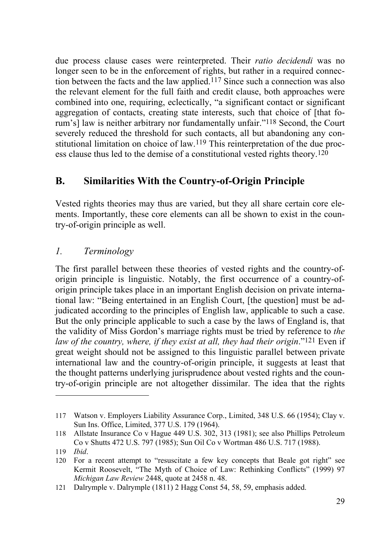due process clause cases were reinterpreted. Their *ratio decidendi* was no longer seen to be in the enforcement of rights, but rather in a required connection between the facts and the law applied.117 Since such a connection was also the relevant element for the full faith and credit clause, both approaches were combined into one, requiring, eclectically, "a significant contact or significant aggregation of contacts, creating state interests, such that choice of [that forum's] law is neither arbitrary nor fundamentally unfair."118 Second, the Court severely reduced the threshold for such contacts, all but abandoning any constitutional limitation on choice of law.119 This reinterpretation of the due process clause thus led to the demise of a constitutional vested rights theory.120

# **B. Similarities With the Country-of-Origin Principle**

Vested rights theories may thus are varied, but they all share certain core elements. Importantly, these core elements can all be shown to exist in the country-of-origin principle as well.

## *1. Terminology*

The first parallel between these theories of vested rights and the country-oforigin principle is linguistic. Notably, the first occurrence of a country-oforigin principle takes place in an important English decision on private international law: "Being entertained in an English Court, [the question] must be adjudicated according to the principles of English law, applicable to such a case. But the only principle applicable to such a case by the laws of England is, that the validity of Miss Gordon's marriage rights must be tried by reference to *the law of the country, where, if they exist at all, they had their origin*."121 Even if great weight should not be assigned to this linguistic parallel between private international law and the country-of-origin principle, it suggests at least that the thought patterns underlying jurisprudence about vested rights and the country-of-origin principle are not altogether dissimilar. The idea that the rights

<sup>117</sup> Watson v. Employers Liability Assurance Corp., Limited, 348 U.S. 66 (1954); Clay v. Sun Ins. Office, Limited, 377 U.S. 179 (1964).

<sup>118</sup> Allstate Insurance Co v Hague 449 U.S. 302, 313 (1981); see also Phillips Petroleum Co v Shutts 472 U.S. 797 (1985); Sun Oil Co v Wortman 486 U.S. 717 (1988).

<sup>119</sup> *Ibid*.

<sup>120</sup> For a recent attempt to "resuscitate a few key concepts that Beale got right" see Kermit Roosevelt, "The Myth of Choice of Law: Rethinking Conflicts" (1999) 97 *Michigan Law Review* 2448, quote at 2458 n. 48.

<sup>121</sup> Dalrymple v. Dalrymple (1811) 2 Hagg Const 54, 58, 59, emphasis added.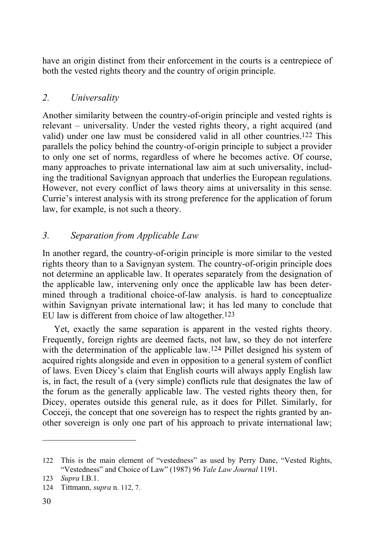have an origin distinct from their enforcement in the courts is a centrepiece of both the vested rights theory and the country of origin principle.

### *2. Universality*

Another similarity between the country-of-origin principle and vested rights is relevant – universality. Under the vested rights theory, a right acquired (and valid) under one law must be considered valid in all other countries.122 This parallels the policy behind the country-of-origin principle to subject a provider to only one set of norms, regardless of where he becomes active. Of course, many approaches to private international law aim at such universality, including the traditional Savignyan approach that underlies the European regulations. However, not every conflict of laws theory aims at universality in this sense. Currie's interest analysis with its strong preference for the application of forum law, for example, is not such a theory.

### *3. Separation from Applicable Law*

In another regard, the country-of-origin principle is more similar to the vested rights theory than to a Savignyan system. The country-of-origin principle does not determine an applicable law. It operates separately from the designation of the applicable law, intervening only once the applicable law has been determined through a traditional choice-of-law analysis. is hard to conceptualize within Savignyan private international law; it has led many to conclude that EU law is different from choice of law altogether.123

Yet, exactly the same separation is apparent in the vested rights theory. Frequently, foreign rights are deemed facts, not law, so they do not interfere with the determination of the applicable law.<sup>124</sup> Pillet designed his system of acquired rights alongside and even in opposition to a general system of conflict of laws. Even Dicey's claim that English courts will always apply English law is, in fact, the result of a (very simple) conflicts rule that designates the law of the forum as the generally applicable law. The vested rights theory then, for Dicey, operates outside this general rule, as it does for Pillet. Similarly, for Cocceji, the concept that one sovereign has to respect the rights granted by another sovereign is only one part of his approach to private international law;

<sup>122</sup> This is the main element of "vestedness" as used by Perry Dane, "Vested Rights, "Vestedness" and Choice of Law" (1987) 96 *Yale Law Journal* 1191.

<sup>123</sup> *Supra* I.B.1.

<sup>124</sup> Tittmann, *supra* n. 112, 7.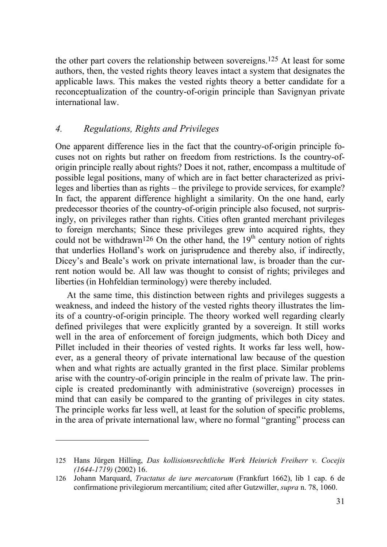the other part covers the relationship between sovereigns.125 At least for some authors, then, the vested rights theory leaves intact a system that designates the applicable laws. This makes the vested rights theory a better candidate for a reconceptualization of the country-of-origin principle than Savignyan private international law.

#### *4. Regulations, Rights and Privileges*

 $\overline{a}$ 

One apparent difference lies in the fact that the country-of-origin principle focuses not on rights but rather on freedom from restrictions. Is the country-oforigin principle really about rights? Does it not, rather, encompass a multitude of possible legal positions, many of which are in fact better characterized as privileges and liberties than as rights – the privilege to provide services, for example? In fact, the apparent difference highlight a similarity. On the one hand, early predecessor theories of the country-of-origin principle also focused, not surprisingly, on privileges rather than rights. Cities often granted merchant privileges to foreign merchants; Since these privileges grew into acquired rights, they could not be withdrawn<sup>126</sup> On the other hand, the  $19<sup>th</sup>$  century notion of rights that underlies Holland's work on jurisprudence and thereby also, if indirectly, Dicey's and Beale's work on private international law, is broader than the current notion would be. All law was thought to consist of rights; privileges and liberties (in Hohfeldian terminology) were thereby included.

At the same time, this distinction between rights and privileges suggests a weakness, and indeed the history of the vested rights theory illustrates the limits of a country-of-origin principle. The theory worked well regarding clearly defined privileges that were explicitly granted by a sovereign. It still works well in the area of enforcement of foreign judgments, which both Dicey and Pillet included in their theories of vested rights. It works far less well, however, as a general theory of private international law because of the question when and what rights are actually granted in the first place. Similar problems arise with the country-of-origin principle in the realm of private law. The principle is created predominantly with administrative (sovereign) processes in mind that can easily be compared to the granting of privileges in city states. The principle works far less well, at least for the solution of specific problems, in the area of private international law, where no formal "granting" process can

<sup>125</sup> Hans Jürgen Hilling, *Das kollisionsrechtliche Werk Heinrich Freiherr v. Cocejis (1644-1719)* (2002) 16.

<sup>126</sup> Johann Marquard, *Tractatus de iure mercatorum* (Frankfurt 1662), lib 1 cap. 6 de confirmatione privilegiorum mercantilium; cited after Gutzwiller, *supra* n. 78, 1060.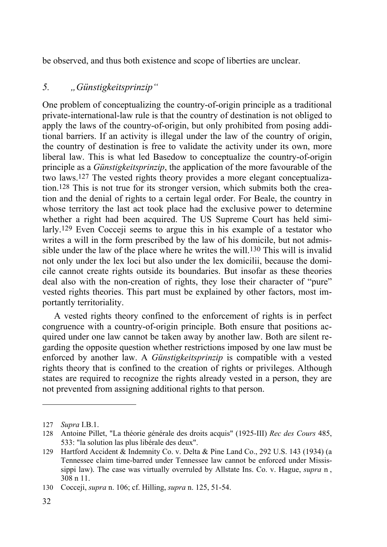be observed, and thus both existence and scope of liberties are unclear.

#### *5. "Günstigkeitsprinzip"*

One problem of conceptualizing the country-of-origin principle as a traditional private-international-law rule is that the country of destination is not obliged to apply the laws of the country-of-origin, but only prohibited from posing additional barriers. If an activity is illegal under the law of the country of origin, the country of destination is free to validate the activity under its own, more liberal law. This is what led Basedow to conceptualize the country-of-origin principle as a *Günstigkeitsprinzip*, the application of the more favourable of the two laws.127 The vested rights theory provides a more elegant conceptualization.128 This is not true for its stronger version, which submits both the creation and the denial of rights to a certain legal order. For Beale, the country in whose territory the last act took place had the exclusive power to determine whether a right had been acquired. The US Supreme Court has held similarly.129 Even Cocceji seems to argue this in his example of a testator who writes a will in the form prescribed by the law of his domicile, but not admissible under the law of the place where he writes the will.130 This will is invalid not only under the lex loci but also under the lex domicilii, because the domicile cannot create rights outside its boundaries. But insofar as these theories deal also with the non-creation of rights, they lose their character of "pure" vested rights theories. This part must be explained by other factors, most importantly territoriality.

A vested rights theory confined to the enforcement of rights is in perfect congruence with a country-of-origin principle. Both ensure that positions acquired under one law cannot be taken away by another law. Both are silent regarding the opposite question whether restrictions imposed by one law must be enforced by another law. A *Günstigkeitsprinzip* is compatible with a vested rights theory that is confined to the creation of rights or privileges. Although states are required to recognize the rights already vested in a person, they are not prevented from assigning additional rights to that person.

<sup>127</sup> *Supra* I.B.1.

<sup>128</sup> Antoine Pillet, "La théorie générale des droits acquis" (1925-III) *Rec des Cours* 485, 533: "la solution las plus libérale des deux".

<sup>129</sup> Hartford Accident & Indemnity Co. v. Delta & Pine Land Co., 292 U.S. 143 (1934) (a Tennessee claim time-barred under Tennessee law cannot be enforced under Mississippi law). The case was virtually overruled by Allstate Ins. Co. v. Hague, *supra* n , 308 n 11.

<sup>130</sup> Cocceji, *supra* n. 106; cf. Hilling, *supra* n. 125, 51-54.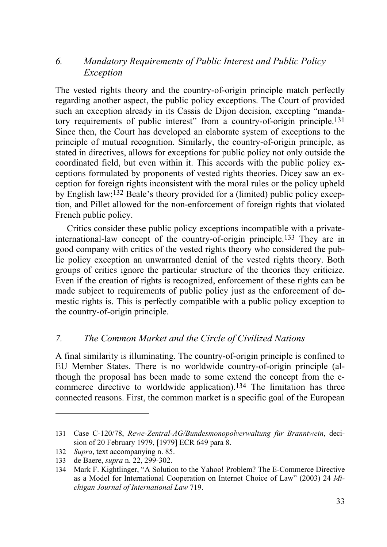## *6. Mandatory Requirements of Public Interest and Public Policy Exception*

The vested rights theory and the country-of-origin principle match perfectly regarding another aspect, the public policy exceptions. The Court of provided such an exception already in its Cassis de Dijon decision, excepting "mandatory requirements of public interest" from a country-of-origin principle.131 Since then, the Court has developed an elaborate system of exceptions to the principle of mutual recognition. Similarly, the country-of-origin principle, as stated in directives, allows for exceptions for public policy not only outside the coordinated field, but even within it. This accords with the public policy exceptions formulated by proponents of vested rights theories. Dicey saw an exception for foreign rights inconsistent with the moral rules or the policy upheld by English law;132 Beale's theory provided for a (limited) public policy exception, and Pillet allowed for the non-enforcement of foreign rights that violated French public policy.

Critics consider these public policy exceptions incompatible with a privateinternational-law concept of the country-of-origin principle.133 They are in good company with critics of the vested rights theory who considered the public policy exception an unwarranted denial of the vested rights theory. Both groups of critics ignore the particular structure of the theories they criticize. Even if the creation of rights is recognized, enforcement of these rights can be made subject to requirements of public policy just as the enforcement of domestic rights is. This is perfectly compatible with a public policy exception to the country-of-origin principle.

### *7. The Common Market and the Circle of Civilized Nations*

A final similarity is illuminating. The country-of-origin principle is confined to EU Member States. There is no worldwide country-of-origin principle (although the proposal has been made to some extend the concept from the ecommerce directive to worldwide application).134 The limitation has three connected reasons. First, the common market is a specific goal of the European

<sup>131</sup> Case C-120/78, *Rewe-Zentral-AG/Bundesmonopolverwaltung für Branntwein*, decision of 20 February 1979, [1979] ECR 649 para 8.

<sup>132</sup> *Supra*, text accompanying n. 85.

<sup>133</sup> de Baere, *supra* n. 22, 299-302.

<sup>134</sup> Mark F. Kightlinger, "A Solution to the Yahoo! Problem? The E-Commerce Directive as a Model for International Cooperation on Internet Choice of Law" (2003) 24 *Michigan Journal of International Law* 719.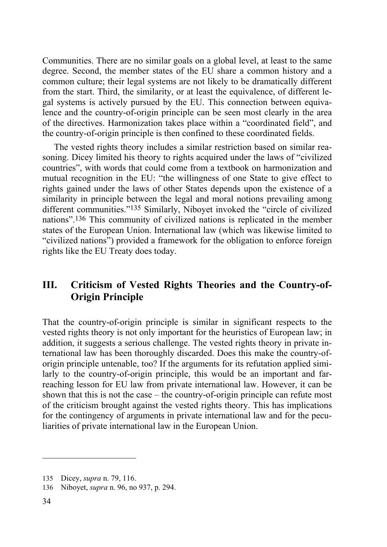Communities. There are no similar goals on a global level, at least to the same degree. Second, the member states of the EU share a common history and a common culture; their legal systems are not likely to be dramatically different from the start. Third, the similarity, or at least the equivalence, of different legal systems is actively pursued by the EU. This connection between equivalence and the country-of-origin principle can be seen most clearly in the area of the directives. Harmonization takes place within a "coordinated field", and the country-of-origin principle is then confined to these coordinated fields.

The vested rights theory includes a similar restriction based on similar reasoning. Dicey limited his theory to rights acquired under the laws of "civilized countries", with words that could come from a textbook on harmonization and mutual recognition in the EU: "the willingness of one State to give effect to rights gained under the laws of other States depends upon the existence of a similarity in principle between the legal and moral notions prevailing among different communities."135 Similarly, Niboyet invoked the "circle of civilized nations".136 This community of civilized nations is replicated in the member states of the European Union. International law (which was likewise limited to "civilized nations") provided a framework for the obligation to enforce foreign rights like the EU Treaty does today.

# **III. Criticism of Vested Rights Theories and the Country-of-Origin Principle**

That the country-of-origin principle is similar in significant respects to the vested rights theory is not only important for the heuristics of European law; in addition, it suggests a serious challenge. The vested rights theory in private international law has been thoroughly discarded. Does this make the country-oforigin principle untenable, too? If the arguments for its refutation applied similarly to the country-of-origin principle, this would be an important and farreaching lesson for EU law from private international law. However, it can be shown that this is not the case – the country-of-origin principle can refute most of the criticism brought against the vested rights theory. This has implications for the contingency of arguments in private international law and for the peculiarities of private international law in the European Union.

<sup>135</sup> Dicey, *supra* n. 79, 116.

<sup>136</sup> Niboyet, *supra* n. 96, no 937, p. 294.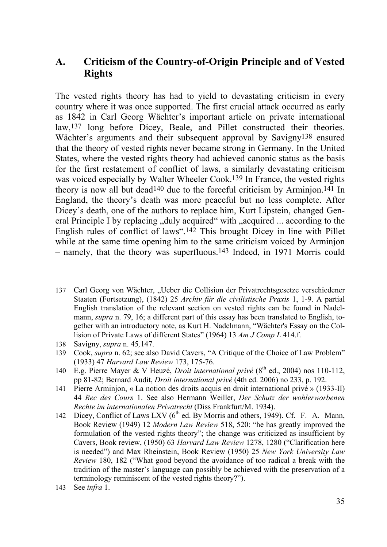## **A. Criticism of the Country-of-Origin Principle and of Vested Rights**

The vested rights theory has had to yield to devastating criticism in every country where it was once supported. The first crucial attack occurred as early as 1842 in Carl Georg Wächter's important article on private international law,137 long before Dicey, Beale, and Pillet constructed their theories. Wächter's arguments and their subsequent approval by Savigny<sup>138</sup> ensured that the theory of vested rights never became strong in Germany. In the United States, where the vested rights theory had achieved canonic status as the basis for the first restatement of conflict of laws, a similarly devastating criticism was voiced especially by Walter Wheeler Cook.<sup>139</sup> In France, the vested rights theory is now all but dead140 due to the forceful criticism by Arminjon.141 In England, the theory's death was more peaceful but no less complete. After Dicey's death, one of the authors to replace him, Kurt Lipstein, changed General Principle I by replacing ", duly acquired" with "acquired ... according to the English rules of conflict of laws".142 This brought Dicey in line with Pillet while at the same time opening him to the same criticism voiced by Arminjon – namely, that the theory was superfluous.143 Indeed, in 1971 Morris could

<sup>137</sup> Carl Georg von Wächter, "Ueber die Collision der Privatrechtsgesetze verschiedener Staaten (Fortsetzung), (1842) 25 *Archiv für die civilistische Praxis* 1, 1-9. A partial English translation of the relevant section on vested rights can be found in Nadelmann, *supra* n. 79, 16; a different part of this essay has been translated to English, together with an introductory note, as Kurt H. Nadelmann, "Wächter's Essay on the Collision of Private Laws of different States" (1964) 13 *Am J Comp L* 414.f.

<sup>138</sup> Savigny, *supra* n. 45*,*147.

<sup>139</sup> Cook, *supra* n. 62; see also David Cavers, "A Critique of the Choice of Law Problem" (1933) 47 *Harvard Law Review* 173, 175-76.

<sup>140</sup> E.g. Pierre Mayer & V Heuzé, *Droit international privé* (8th ed., 2004) nos 110-112, pp 81-82; Bernard Audit, *Droit international privé* (4th ed. 2006) no 233, p. 192.

<sup>141</sup> Pierre Arminjon, « La notion des droits acquis en droit international privé » (1933-II) 44 *Rec des Cours* 1. See also Hermann Weiller, *Der Schutz der wohlerworbenen Rechte im internationalen Privatrecht* (Diss Frankfurt/M. 1934).

<sup>142</sup> Dicey, Conflict of Laws LXV ( $6<sup>th</sup>$  ed. By Morris and others, 1949). Cf. F. A. Mann, Book Review (1949) 12 *Modern Law Review* 518, 520: "he has greatly improved the formulation of the vested rights theory"; the change was criticized as insufficient by Cavers, Book review, (1950) 63 *Harvard Law Review* 1278, 1280 ("Clarification here is needed") and Max Rheinstein, Book Review (1950) 25 *New York University Law Review* 180, 182 ("What good beyond the avoidance of too radical a break with the tradition of the master's language can possibly be achieved with the preservation of a terminology reminiscent of the vested rights theory?").

<sup>143</sup> See *infra* 1.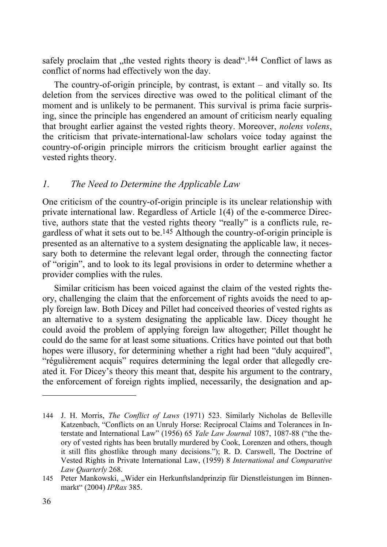safely proclaim that , the vested rights theory is dead".<sup>144</sup> Conflict of laws as conflict of norms had effectively won the day.

The country-of-origin principle, by contrast, is extant – and vitally so. Its deletion from the services directive was owed to the political climant of the moment and is unlikely to be permanent. This survival is prima facie surprising, since the principle has engendered an amount of criticism nearly equaling that brought earlier against the vested rights theory. Moreover, *nolens volens*, the criticism that private-international-law scholars voice today against the country-of-origin principle mirrors the criticism brought earlier against the vested rights theory.

#### *1. The Need to Determine the Applicable Law*

One criticism of the country-of-origin principle is its unclear relationship with private international law. Regardless of Article 1(4) of the e-commerce Directive, authors state that the vested rights theory "really" is a conflicts rule, regardless of what it sets out to be.145 Although the country-of-origin principle is presented as an alternative to a system designating the applicable law, it necessary both to determine the relevant legal order, through the connecting factor of "origin", and to look to its legal provisions in order to determine whether a provider complies with the rules.

Similar criticism has been voiced against the claim of the vested rights theory, challenging the claim that the enforcement of rights avoids the need to apply foreign law. Both Dicey and Pillet had conceived theories of vested rights as an alternative to a system designating the applicable law. Dicey thought he could avoid the problem of applying foreign law altogether; Pillet thought he could do the same for at least some situations. Critics have pointed out that both hopes were illusory, for determining whether a right had been "duly acquired", "régulièrement acquis" requires determining the legal order that allegedly created it. For Dicey's theory this meant that, despite his argument to the contrary, the enforcement of foreign rights implied, necessarily, the designation and ap-

<sup>144</sup> J. H. Morris, *The Conflict of Laws* (1971) 523. Similarly Nicholas de Belleville Katzenbach, "Conflicts on an Unruly Horse: Reciprocal Claims and Tolerances in Interstate and International Law" (1956) 65 *Yale Law Journal* 1087, 1087-88 ("the theory of vested rights has been brutally murdered by Cook, Lorenzen and others, though it still flits ghostlike through many decisions."); R. D. Carswell, The Doctrine of Vested Rights in Private International Law, (1959) 8 *International and Comparative Law Quarterly* 268.

<sup>145</sup> Peter Mankowski, "Wider ein Herkunftslandprinzip für Dienstleistungen im Binnenmarkt" (2004) *IPRax* 385.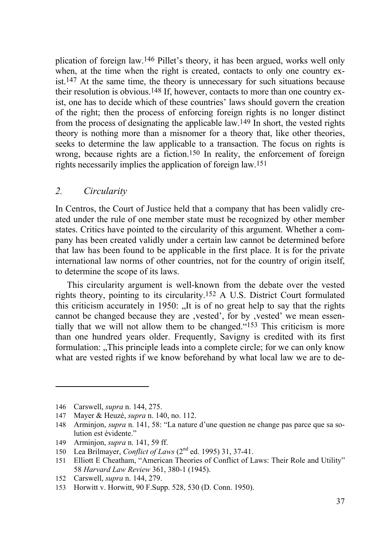plication of foreign law.146 Pillet's theory, it has been argued, works well only when, at the time when the right is created, contacts to only one country exist.147 At the same time, the theory is unnecessary for such situations because their resolution is obvious.148 If, however, contacts to more than one country exist, one has to decide which of these countries' laws should govern the creation of the right; then the process of enforcing foreign rights is no longer distinct from the process of designating the applicable law.149 In short, the vested rights theory is nothing more than a misnomer for a theory that, like other theories, seeks to determine the law applicable to a transaction. The focus on rights is wrong, because rights are a fiction.<sup>150</sup> In reality, the enforcement of foreign rights necessarily implies the application of foreign law.151

#### *2. Circularity*

In Centros, the Court of Justice held that a company that has been validly created under the rule of one member state must be recognized by other member states. Critics have pointed to the circularity of this argument. Whether a company has been created validly under a certain law cannot be determined before that law has been found to be applicable in the first place. It is for the private international law norms of other countries, not for the country of origin itself, to determine the scope of its laws.

This circularity argument is well-known from the debate over the vested rights theory, pointing to its circularity.152 A U.S. District Court formulated this criticism accurately in 1950:  $\mu$ , It is of no great help to say that the rights cannot be changed because they are 'vested', for by 'vested' we mean essentially that we will not allow them to be changed."153 This criticism is more than one hundred years older. Frequently, Savigny is credited with its first formulation: "This principle leads into a complete circle; for we can only know what are vested rights if we know beforehand by what local law we are to de-

<sup>146</sup> Carswell, *supra* n. 144, 275.

<sup>147</sup> Mayer & Heuzé, *supra* n. 140, no. 112.

<sup>148</sup> Arminjon, *supra* n. 141, 58: "La nature d'une question ne change pas parce que sa solution est évidente."

<sup>149</sup> Arminjon, *supra* n. 141, 59 ff.

<sup>150</sup> Lea Brilmayer, *Conflict of Laws* (2nd ed. 1995) 31, 37-41.

<sup>151</sup> Elliott E Cheatham, "American Theories of Conflict of Laws: Their Role and Utility" 58 *Harvard Law Review* 361, 380-1 (1945).

<sup>152</sup> Carswell, *supra* n. 144, 279.

<sup>153</sup> Horwitt v. Horwitt, 90 F.Supp. 528, 530 (D. Conn. 1950).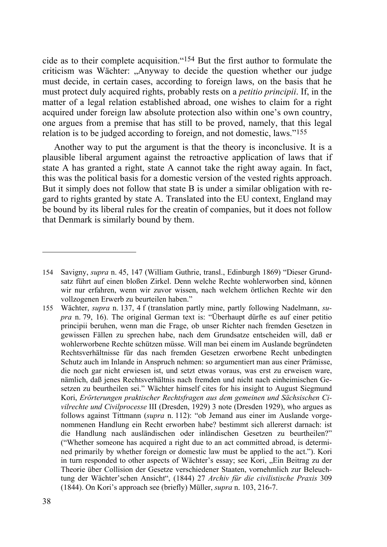cide as to their complete acquisition."154 But the first author to formulate the criticism was Wächter: "Anyway to decide the question whether our judge must decide, in certain cases, according to foreign laws, on the basis that he must protect duly acquired rights, probably rests on a *petitio principii*. If, in the matter of a legal relation established abroad, one wishes to claim for a right acquired under foreign law absolute protection also within one's own country, one argues from a premise that has still to be proved, namely, that this legal relation is to be judged according to foreign, and not domestic, laws."155

Another way to put the argument is that the theory is inconclusive. It is a plausible liberal argument against the retroactive application of laws that if state A has granted a right, state A cannot take the right away again. In fact, this was the political basis for a domestic version of the vested rights approach. But it simply does not follow that state B is under a similar obligation with regard to rights granted by state A. Translated into the EU context, England may be bound by its liberal rules for the creatin of companies, but it does not follow that Denmark is similarly bound by them.

<sup>154</sup> Savigny, *supra* n. 45, 147 (William Guthrie, transl., Edinburgh 1869) "Dieser Grundsatz führt auf einen bloßen Zirkel. Denn welche Rechte wohlerworben sind, können wir nur erfahren, wenn wir zuvor wissen, nach welchem örtlichen Rechte wir den vollzogenen Erwerb zu beurteilen haben."

<sup>155</sup> Wächter, *supra* n. 137, 4 f (translation partly mine, partly following Nadelmann, *supra* n. 79, 16). The original German text is: "Überhaupt dürfte es auf einer petitio principii beruhen, wenn man die Frage, ob unser Richter nach fremden Gesetzen in gewissen Fällen zu sprechen habe, nach dem Grundsatze entscheiden will, daß er wohlerworbene Rechte schützen müsse. Will man bei einem im Auslande begründeten Rechtsverhältnisse für das nach fremden Gesetzen erworbene Recht unbedingten Schutz auch im Inlande in Anspruch nehmen: so argumentiert man aus einer Prämisse, die noch gar nicht erwiesen ist, und setzt etwas voraus, was erst zu erweisen ware, nämlich, daß jenes Rechtsverhältnis nach fremden und nicht nach einheimischen Gesetzen zu beurtheilen sei." Wächter himself cites for his insight to August Siegmund Kori, *Erörterungen praktischer Rechtsfragen aus dem gemeinen und Sächsischen Civilrechte und Civilprocesse* III (Dresden, 1929) 3 note (Dresden 1929), who argues as follows against Tittmann (*supra* n. 112): "ob Jemand aus einer im Auslande vorgenommenen Handlung ein Recht erworben habe? bestimmt sich allererst darnach: ist die Handlung nach ausländischen oder inländischen Gesetzen zu beurtheilen?" ("Whether someone has acquired a right due to an act committed abroad, is determined primarily by whether foreign or domestic law must be applied to the act."). Kori in turn responded to other aspects of Wächter's essay; see Kori, "Ein Beitrag zu der Theorie über Collision der Gesetze verschiedener Staaten, vornehmlich zur Beleuchtung der Wächter'schen Ansicht", (1844) 27 *Archiv für die civilistische Praxis* 309 (1844). On Kori's approach see (briefly) Müller, *supra* n. 103, 216-7.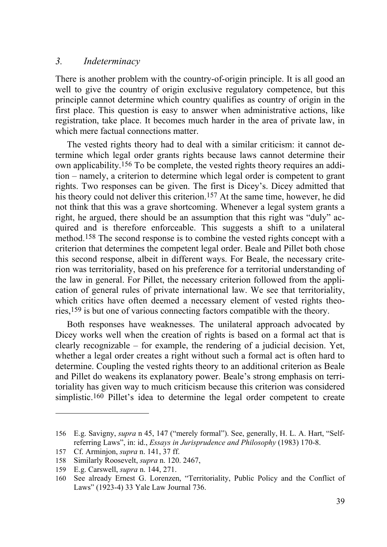#### *3. Indeterminacy*

There is another problem with the country-of-origin principle. It is all good an well to give the country of origin exclusive regulatory competence, but this principle cannot determine which country qualifies as country of origin in the first place. This question is easy to answer when administrative actions, like registration, take place. It becomes much harder in the area of private law, in which mere factual connections matter.

The vested rights theory had to deal with a similar criticism: it cannot determine which legal order grants rights because laws cannot determine their own applicability.156 To be complete, the vested rights theory requires an addition – namely, a criterion to determine which legal order is competent to grant rights. Two responses can be given. The first is Dicey's. Dicey admitted that his theory could not deliver this criterion.157 At the same time, however, he did not think that this was a grave shortcoming. Whenever a legal system grants a right, he argued, there should be an assumption that this right was "duly" acquired and is therefore enforceable. This suggests a shift to a unilateral method.158 The second response is to combine the vested rights concept with a criterion that determines the competent legal order. Beale and Pillet both chose this second response, albeit in different ways. For Beale, the necessary criterion was territoriality, based on his preference for a territorial understanding of the law in general. For Pillet, the necessary criterion followed from the application of general rules of private international law. We see that territoriality, which critics have often deemed a necessary element of vested rights theories,159 is but one of various connecting factors compatible with the theory.

Both responses have weaknesses. The unilateral approach advocated by Dicey works well when the creation of rights is based on a formal act that is clearly recognizable – for example, the rendering of a judicial decision. Yet, whether a legal order creates a right without such a formal act is often hard to determine. Coupling the vested rights theory to an additional criterion as Beale and Pillet do weakens its explanatory power. Beale's strong emphasis on territoriality has given way to much criticism because this criterion was considered simplistic.160 Pillet's idea to determine the legal order competent to create

<sup>156</sup> E.g. Savigny, *supra* n 45, 147 ("merely formal"). See, generally, H. L. A. Hart, "Selfreferring Laws", in: id., *Essays in Jurisprudence and Philosophy* (1983) 170-8.

<sup>157</sup> Cf. Arminjon, *supra* n. 141, 37 ff.

<sup>158</sup> Similarly Roosevelt, *supra* n. 120. 2467,

<sup>159</sup> E.g. Carswell, *supra* n. 144, 271.

<sup>160</sup> See already Ernest G. Lorenzen, "Territoriality, Public Policy and the Conflict of Laws" (1923-4) 33 Yale Law Journal 736.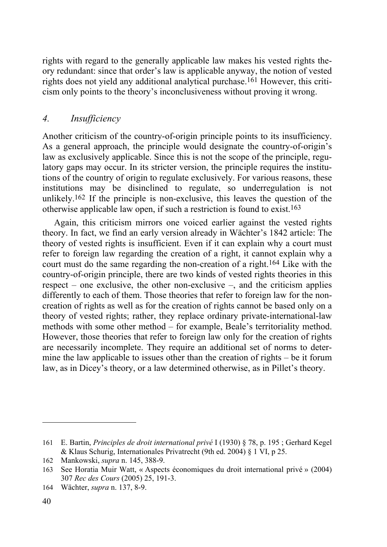rights with regard to the generally applicable law makes his vested rights theory redundant: since that order's law is applicable anyway, the notion of vested rights does not yield any additional analytical purchase.161 However, this criticism only points to the theory's inconclusiveness without proving it wrong.

#### *4. Insufficiency*

Another criticism of the country-of-origin principle points to its insufficiency. As a general approach, the principle would designate the country-of-origin's law as exclusively applicable. Since this is not the scope of the principle, regulatory gaps may occur. In its stricter version, the principle requires the institutions of the country of origin to regulate exclusively. For various reasons, these institutions may be disinclined to regulate, so underregulation is not unlikely.162 If the principle is non-exclusive, this leaves the question of the otherwise applicable law open, if such a restriction is found to exist.163

Again, this criticism mirrors one voiced earlier against the vested rights theory. In fact, we find an early version already in Wächter's 1842 article: The theory of vested rights is insufficient. Even if it can explain why a court must refer to foreign law regarding the creation of a right, it cannot explain why a court must do the same regarding the non-creation of a right.164 Like with the country-of-origin principle, there are two kinds of vested rights theories in this respect – one exclusive, the other non-exclusive –, and the criticism applies differently to each of them. Those theories that refer to foreign law for the noncreation of rights as well as for the creation of rights cannot be based only on a theory of vested rights; rather, they replace ordinary private-international-law methods with some other method – for example, Beale's territoriality method. However, those theories that refer to foreign law only for the creation of rights are necessarily incomplete. They require an additional set of norms to determine the law applicable to issues other than the creation of rights – be it forum law, as in Dicey's theory, or a law determined otherwise, as in Pillet's theory.

<sup>161</sup> E. Bartin, *Principles de droit international privé* I (1930) § 78, p. 195 ; Gerhard Kegel & Klaus Schurig, Internationales Privatrecht (9th ed. 2004) § 1 VI, p 25.

<sup>162</sup> Mankowski, *supra* n. 145, 388-9.

<sup>163</sup> See Horatia Muir Watt, « Aspects économiques du droit international privé » (2004) 307 *Rec des Cours* (2005) 25, 191-3.

<sup>164</sup> Wächter, *supra* n. 137, 8-9.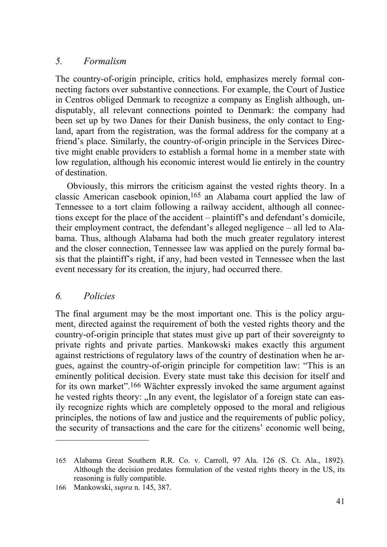#### *5. Formalism*

The country-of-origin principle, critics hold, emphasizes merely formal connecting factors over substantive connections. For example, the Court of Justice in Centros obliged Denmark to recognize a company as English although, undisputably, all relevant connections pointed to Denmark: the company had been set up by two Danes for their Danish business, the only contact to England, apart from the registration, was the formal address for the company at a friend's place. Similarly, the country-of-origin principle in the Services Directive might enable providers to establish a formal home in a member state with low regulation, although his economic interest would lie entirely in the country of destination.

Obviously, this mirrors the criticism against the vested rights theory. In a classic American casebook opinion,165 an Alabama court applied the law of Tennessee to a tort claim following a railway accident, although all connections except for the place of the accident – plaintiff's and defendant's domicile, their employment contract, the defendant's alleged negligence – all led to Alabama. Thus, although Alabama had both the much greater regulatory interest and the closer connection, Tennessee law was applied on the purely formal basis that the plaintiff's right, if any, had been vested in Tennessee when the last event necessary for its creation, the injury, had occurred there.

### *6. Policies*

 $\overline{a}$ 

The final argument may be the most important one. This is the policy argument, directed against the requirement of both the vested rights theory and the country-of-origin principle that states must give up part of their sovereignty to private rights and private parties. Mankowski makes exactly this argument against restrictions of regulatory laws of the country of destination when he argues, against the country-of-origin principle for competition law: "This is an eminently political decision. Every state must take this decision for itself and for its own market".166 Wächter expressly invoked the same argument against he vested rights theory: "In any event, the legislator of a foreign state can easily recognize rights which are completely opposed to the moral and religious principles, the notions of law and justice and the requirements of public policy, the security of transactions and the care for the citizens' economic well being,

<sup>165</sup> Alabama Great Southern R.R. Co. v. Carroll, 97 Ala. 126 (S. Ct. Ala., 1892). Although the decision predates formulation of the vested rights theory in the US, its reasoning is fully compatible.

<sup>166</sup> Mankowski, *supra* n. 145, 387.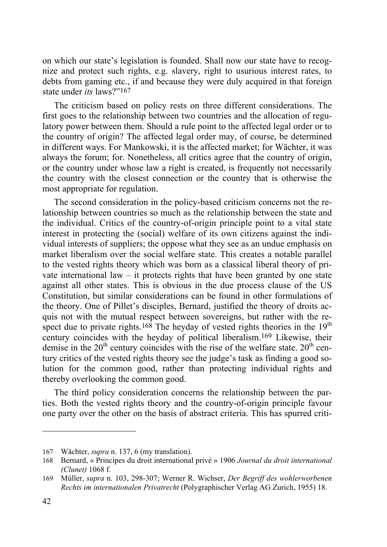on which our state's legislation is founded. Shall now our state have to recognize and protect such rights, e.g. slavery, right to usurious interest rates, to debts from gaming etc., if and because they were duly acquired in that foreign state under *its* laws?"167

The criticism based on policy rests on three different considerations. The first goes to the relationship between two countries and the allocation of regulatory power between them. Should a rule point to the affected legal order or to the country of origin? The affected legal order may, of course, be determined in different ways. For Mankowski, it is the affected market; for Wächter, it was always the forum; for. Nonetheless, all critics agree that the country of origin, or the country under whose law a right is created, is frequently not necessarily the country with the closest connection or the country that is otherwise the most appropriate for regulation.

The second consideration in the policy-based criticism concerns not the relationship between countries so much as the relationship between the state and the individual. Critics of the country-of-origin principle point to a vital state interest in protecting the (social) welfare of its own citizens against the individual interests of suppliers; the oppose what they see as an undue emphasis on market liberalism over the social welfare state. This creates a notable parallel to the vested rights theory which was born as a classical liberal theory of private international law  $-$  it protects rights that have been granted by one state against all other states. This is obvious in the due process clause of the US Constitution, but similar considerations can be found in other formulations of the theory. One of Pillet's disciples, Bernard, justified the theory of droits acquis not with the mutual respect between sovereigns, but rather with the respect due to private rights.<sup>168</sup> The heyday of vested rights theories in the  $19<sup>th</sup>$ century coincides with the heyday of political liberalism.169 Likewise, their demise in the  $20<sup>th</sup>$  century coincides with the rise of the welfare state.  $20<sup>th</sup>$  century critics of the vested rights theory see the judge's task as finding a good solution for the common good, rather than protecting individual rights and thereby overlooking the common good.

The third policy consideration concerns the relationship between the parties. Both the vested rights theory and the country-of-origin principle favour one party over the other on the basis of abstract criteria. This has spurred criti-

<sup>167</sup> Wächter, *supra* n. 137, 6 (my translation).

<sup>168</sup> Bernard, « Principes du droit international privé » 1906 *Journal du droit international (Clunet)* 1068 f.

<sup>169</sup> Müller, *supra* n. 103, 298-307; Werner R. Wichser, *Der Begriff des wohlerworbenen Rechts im internationalen Privatrecht* (Polygraphischer Verlag AG Zurich, 1955) 18.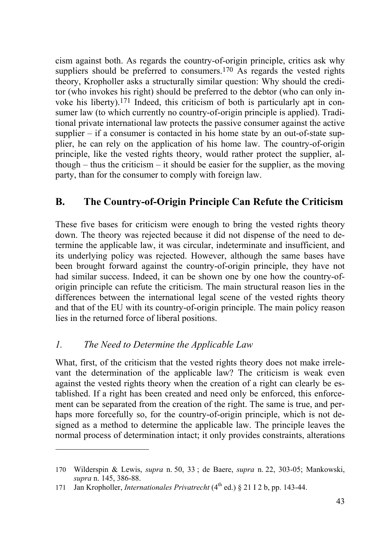cism against both. As regards the country-of-origin principle, critics ask why suppliers should be preferred to consumers.<sup>170</sup> As regards the vested rights theory, Kropholler asks a structurally similar question: Why should the creditor (who invokes his right) should be preferred to the debtor (who can only invoke his liberty).171 Indeed, this criticism of both is particularly apt in consumer law (to which currently no country-of-origin principle is applied). Traditional private international law protects the passive consumer against the active supplier – if a consumer is contacted in his home state by an out-of-state supplier, he can rely on the application of his home law. The country-of-origin principle, like the vested rights theory, would rather protect the supplier, although – thus the criticism – it should be easier for the supplier, as the moving party, than for the consumer to comply with foreign law.

# **B. The Country-of-Origin Principle Can Refute the Criticism**

These five bases for criticism were enough to bring the vested rights theory down. The theory was rejected because it did not dispense of the need to determine the applicable law, it was circular, indeterminate and insufficient, and its underlying policy was rejected. However, although the same bases have been brought forward against the country-of-origin principle, they have not had similar success. Indeed, it can be shown one by one how the country-oforigin principle can refute the criticism. The main structural reason lies in the differences between the international legal scene of the vested rights theory and that of the EU with its country-of-origin principle. The main policy reason lies in the returned force of liberal positions.

### *1. The Need to Determine the Applicable Law*

 $\overline{a}$ 

What, first, of the criticism that the vested rights theory does not make irrelevant the determination of the applicable law? The criticism is weak even against the vested rights theory when the creation of a right can clearly be established. If a right has been created and need only be enforced, this enforcement can be separated from the creation of the right. The same is true, and perhaps more forcefully so, for the country-of-origin principle, which is not designed as a method to determine the applicable law. The principle leaves the normal process of determination intact; it only provides constraints, alterations

<sup>170</sup> Wilderspin & Lewis, *supra* n. 50, 33 ; de Baere, *supra* n. 22, 303-05; Mankowski, *supra* n. 145, 386-88.

<sup>171</sup> Jan Kropholler, *Internationales Privatrecht* (4th ed.) § 21 I 2 b, pp. 143-44.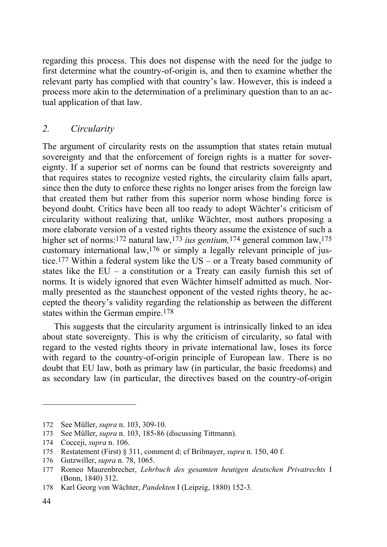regarding this process. This does not dispense with the need for the judge to first determine what the country-of-origin is, and then to examine whether the relevant party has complied with that country's law. However, this is indeed a process more akin to the determination of a preliminary question than to an actual application of that law.

#### *2. Circularity*

The argument of circularity rests on the assumption that states retain mutual sovereignty and that the enforcement of foreign rights is a matter for sovereignty. If a superior set of norms can be found that restricts sovereignty and that requires states to recognize vested rights, the circularity claim falls apart, since then the duty to enforce these rights no longer arises from the foreign law that created them but rather from this superior norm whose binding force is beyond doubt. Critics have been all too ready to adopt Wächter's criticism of circularity without realizing that, unlike Wächter, most authors proposing a more elaborate version of a vested rights theory assume the existence of such a higher set of norms:172 natural law,173 *ius gentium,*174 general common law,175 customary international law,176 or simply a legally relevant principle of justice.177 Within a federal system like the US – or a Treaty based community of states like the  $EU - a$  constitution or a Treaty can easily furnish this set of norms. It is widely ignored that even Wächter himself admitted as much. Normally presented as the staunchest opponent of the vested rights theory, he accepted the theory's validity regarding the relationship as between the different states within the German empire.178

This suggests that the circularity argument is intrinsically linked to an idea about state sovereignty. This is why the criticism of circularity, so fatal with regard to the vested rights theory in private international law, loses its force with regard to the country-of-origin principle of European law. There is no doubt that EU law, both as primary law (in particular, the basic freedoms) and as secondary law (in particular, the directives based on the country-of-origin

<sup>172</sup> See Müller, *supra* n. 103, 309-10.

<sup>173</sup> See Müller, *supra* n. 103, 185-86 (discussing Tittmann).

<sup>174</sup> Cocceji, *supra* n. 106.

<sup>175</sup> Restatement (First) § 311, comment d; cf Brilmayer, *supra* n. 150, 40 f.

<sup>176</sup> Gutzwiller, *supra* n. 78, 1065.

<sup>177</sup> Romeo Maurenbrecher, *Lehrbuch des gesamten heutigen deutschen Privatrechts* I (Bonn, 1840) 312.

<sup>178</sup> Karl Georg von Wächter, *Pandekten* I (Leipzig, 1880) 152-3.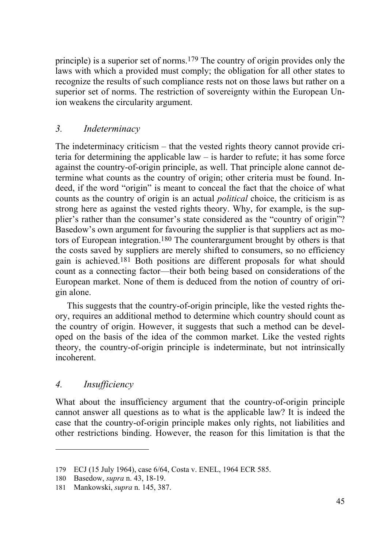principle) is a superior set of norms.179 The country of origin provides only the laws with which a provided must comply; the obligation for all other states to recognize the results of such compliance rests not on those laws but rather on a superior set of norms. The restriction of sovereignty within the European Union weakens the circularity argument.

### *3. Indeterminacy*

The indeterminacy criticism – that the vested rights theory cannot provide criteria for determining the applicable law – is harder to refute; it has some force against the country-of-origin principle, as well. That principle alone cannot determine what counts as the country of origin; other criteria must be found. Indeed, if the word "origin" is meant to conceal the fact that the choice of what counts as the country of origin is an actual *political* choice, the criticism is as strong here as against the vested rights theory. Why, for example, is the supplier's rather than the consumer's state considered as the "country of origin"? Basedow's own argument for favouring the supplier is that suppliers act as motors of European integration.180 The counterargument brought by others is that the costs saved by suppliers are merely shifted to consumers, so no efficiency gain is achieved.181 Both positions are different proposals for what should count as a connecting factor—their both being based on considerations of the European market. None of them is deduced from the notion of country of origin alone.

This suggests that the country-of-origin principle, like the vested rights theory, requires an additional method to determine which country should count as the country of origin. However, it suggests that such a method can be developed on the basis of the idea of the common market. Like the vested rights theory, the country-of-origin principle is indeterminate, but not intrinsically incoherent.

### *4. Insufficiency*

 $\overline{a}$ 

What about the insufficiency argument that the country-of-origin principle cannot answer all questions as to what is the applicable law? It is indeed the case that the country-of-origin principle makes only rights, not liabilities and other restrictions binding. However, the reason for this limitation is that the

<sup>179</sup> ECJ (15 July 1964), case 6/64, Costa v. ENEL, 1964 ECR 585.

<sup>180</sup> Basedow, *supra* n. 43, 18-19.

<sup>181</sup> Mankowski, *supra* n. 145, 387.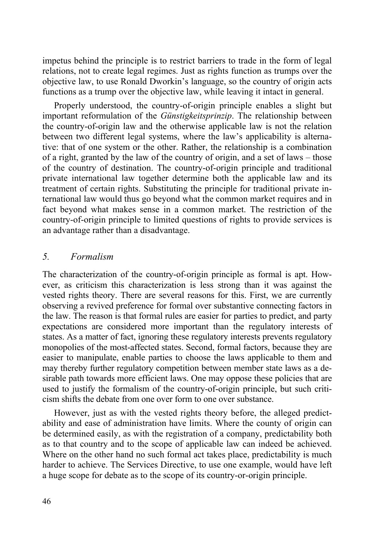impetus behind the principle is to restrict barriers to trade in the form of legal relations, not to create legal regimes. Just as rights function as trumps over the objective law, to use Ronald Dworkin's language, so the country of origin acts functions as a trump over the objective law, while leaving it intact in general.

Properly understood, the country-of-origin principle enables a slight but important reformulation of the *Günstigkeitsprinzip*. The relationship between the country-of-origin law and the otherwise applicable law is not the relation between two different legal systems, where the law's applicability is alternative: that of one system or the other. Rather, the relationship is a combination of a right, granted by the law of the country of origin, and a set of laws – those of the country of destination. The country-of-origin principle and traditional private international law together determine both the applicable law and its treatment of certain rights. Substituting the principle for traditional private international law would thus go beyond what the common market requires and in fact beyond what makes sense in a common market. The restriction of the country-of-origin principle to limited questions of rights to provide services is an advantage rather than a disadvantage.

#### *5. Formalism*

The characterization of the country-of-origin principle as formal is apt. However, as criticism this characterization is less strong than it was against the vested rights theory. There are several reasons for this. First, we are currently observing a revived preference for formal over substantive connecting factors in the law. The reason is that formal rules are easier for parties to predict, and party expectations are considered more important than the regulatory interests of states. As a matter of fact, ignoring these regulatory interests prevents regulatory monopolies of the most-affected states. Second, formal factors, because they are easier to manipulate, enable parties to choose the laws applicable to them and may thereby further regulatory competition between member state laws as a desirable path towards more efficient laws. One may oppose these policies that are used to justify the formalism of the country-of-origin principle, but such criticism shifts the debate from one over form to one over substance.

However, just as with the vested rights theory before, the alleged predictability and ease of administration have limits. Where the county of origin can be determined easily, as with the registration of a company, predictability both as to that country and to the scope of applicable law can indeed be achieved. Where on the other hand no such formal act takes place, predictability is much harder to achieve. The Services Directive, to use one example, would have left a huge scope for debate as to the scope of its country-or-origin principle.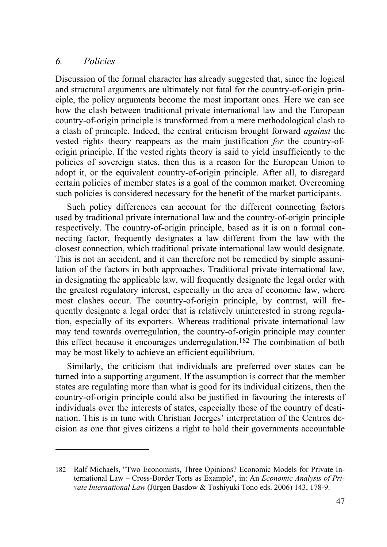#### *6. Policies*

 $\overline{a}$ 

Discussion of the formal character has already suggested that, since the logical and structural arguments are ultimately not fatal for the country-of-origin principle, the policy arguments become the most important ones. Here we can see how the clash between traditional private international law and the European country-of-origin principle is transformed from a mere methodological clash to a clash of principle. Indeed, the central criticism brought forward *against* the vested rights theory reappears as the main justification *for* the country-oforigin principle. If the vested rights theory is said to yield insufficiently to the policies of sovereign states, then this is a reason for the European Union to adopt it, or the equivalent country-of-origin principle. After all, to disregard certain policies of member states is a goal of the common market. Overcoming such policies is considered necessary for the benefit of the market participants.

Such policy differences can account for the different connecting factors used by traditional private international law and the country-of-origin principle respectively. The country-of-origin principle, based as it is on a formal connecting factor, frequently designates a law different from the law with the closest connection, which traditional private international law would designate. This is not an accident, and it can therefore not be remedied by simple assimilation of the factors in both approaches. Traditional private international law, in designating the applicable law, will frequently designate the legal order with the greatest regulatory interest, especially in the area of economic law, where most clashes occur. The country-of-origin principle, by contrast, will frequently designate a legal order that is relatively uninterested in strong regulation, especially of its exporters. Whereas traditional private international law may tend towards overregulation, the country-of-origin principle may counter this effect because it encourages underregulation.182 The combination of both may be most likely to achieve an efficient equilibrium.

Similarly, the criticism that individuals are preferred over states can be turned into a supporting argument. If the assumption is correct that the member states are regulating more than what is good for its individual citizens, then the country-of-origin principle could also be justified in favouring the interests of individuals over the interests of states, especially those of the country of destination. This is in tune with Christian Joerges' interpretation of the Centros decision as one that gives citizens a right to hold their governments accountable

<sup>182</sup> Ralf Michaels, "Two Economists, Three Opinions? Economic Models for Private International Law – Cross-Border Torts as Example", in: An *Economic Analysis of Private International Law* (Jürgen Basdow & Toshiyuki Tono eds. 2006) 143, 178-9.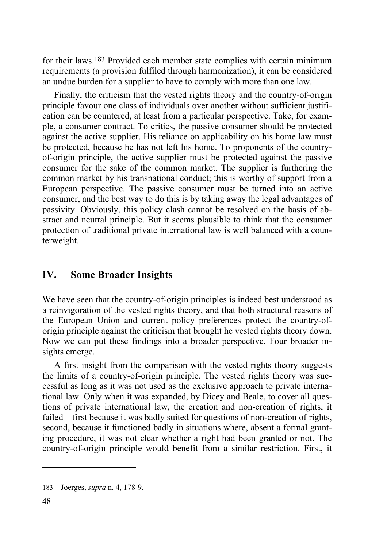for their laws.183 Provided each member state complies with certain minimum requirements (a provision fulfiled through harmonization), it can be considered an undue burden for a supplier to have to comply with more than one law.

Finally, the criticism that the vested rights theory and the country-of-origin principle favour one class of individuals over another without sufficient justification can be countered, at least from a particular perspective. Take, for example, a consumer contract. To critics, the passive consumer should be protected against the active supplier. His reliance on applicability on his home law must be protected, because he has not left his home. To proponents of the countryof-origin principle, the active supplier must be protected against the passive consumer for the sake of the common market. The supplier is furthering the common market by his transnational conduct; this is worthy of support from a European perspective. The passive consumer must be turned into an active consumer, and the best way to do this is by taking away the legal advantages of passivity. Obviously, this policy clash cannot be resolved on the basis of abstract and neutral principle. But it seems plausible to think that the consumer protection of traditional private international law is well balanced with a counterweight.

### **IV. Some Broader Insights**

We have seen that the country-of-origin principles is indeed best understood as a reinvigoration of the vested rights theory, and that both structural reasons of the European Union and current policy preferences protect the country-oforigin principle against the criticism that brought he vested rights theory down. Now we can put these findings into a broader perspective. Four broader insights emerge.

A first insight from the comparison with the vested rights theory suggests the limits of a country-of-origin principle. The vested rights theory was successful as long as it was not used as the exclusive approach to private international law. Only when it was expanded, by Dicey and Beale, to cover all questions of private international law, the creation and non-creation of rights, it failed – first because it was badly suited for questions of non-creation of rights, second, because it functioned badly in situations where, absent a formal granting procedure, it was not clear whether a right had been granted or not. The country-of-origin principle would benefit from a similar restriction. First, it

<sup>183</sup> Joerges, *supra* n. 4, 178-9.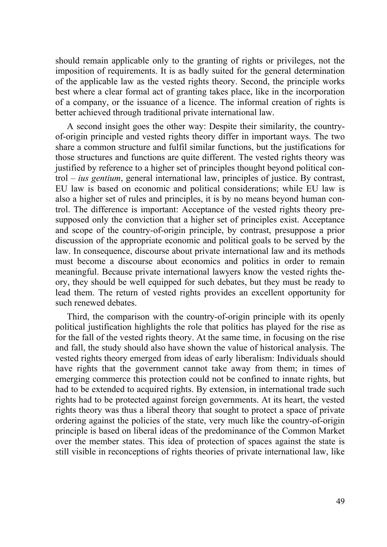should remain applicable only to the granting of rights or privileges, not the imposition of requirements. It is as badly suited for the general determination of the applicable law as the vested rights theory. Second, the principle works best where a clear formal act of granting takes place, like in the incorporation of a company, or the issuance of a licence. The informal creation of rights is better achieved through traditional private international law.

A second insight goes the other way: Despite their similarity, the countryof-origin principle and vested rights theory differ in important ways. The two share a common structure and fulfil similar functions, but the justifications for those structures and functions are quite different. The vested rights theory was justified by reference to a higher set of principles thought beyond political control – *ius gentium*, general international law, principles of justice. By contrast, EU law is based on economic and political considerations; while EU law is also a higher set of rules and principles, it is by no means beyond human control. The difference is important: Acceptance of the vested rights theory presupposed only the conviction that a higher set of principles exist. Acceptance and scope of the country-of-origin principle, by contrast, presuppose a prior discussion of the appropriate economic and political goals to be served by the law. In consequence, discourse about private international law and its methods must become a discourse about economics and politics in order to remain meaningful. Because private international lawyers know the vested rights theory, they should be well equipped for such debates, but they must be ready to lead them. The return of vested rights provides an excellent opportunity for such renewed debates.

Third, the comparison with the country-of-origin principle with its openly political justification highlights the role that politics has played for the rise as for the fall of the vested rights theory. At the same time, in focusing on the rise and fall, the study should also have shown the value of historical analysis. The vested rights theory emerged from ideas of early liberalism: Individuals should have rights that the government cannot take away from them; in times of emerging commerce this protection could not be confined to innate rights, but had to be extended to acquired rights. By extension, in international trade such rights had to be protected against foreign governments. At its heart, the vested rights theory was thus a liberal theory that sought to protect a space of private ordering against the policies of the state, very much like the country-of-origin principle is based on liberal ideas of the predominance of the Common Market over the member states. This idea of protection of spaces against the state is still visible in reconceptions of rights theories of private international law, like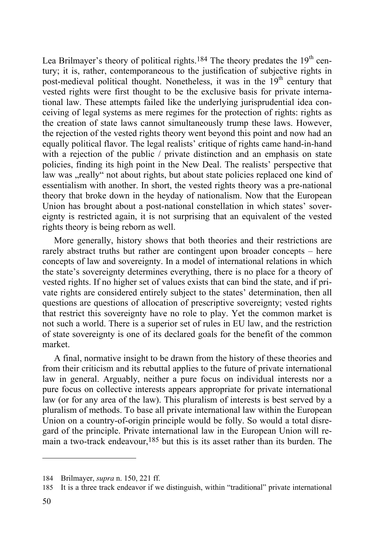Lea Brilmayer's theory of political rights.<sup>184</sup> The theory predates the  $19<sup>th</sup>$  century; it is, rather, contemporaneous to the justification of subjective rights in post-medieval political thought. Nonetheless, it was in the  $19<sup>th</sup>$  century that vested rights were first thought to be the exclusive basis for private international law. These attempts failed like the underlying jurisprudential idea conceiving of legal systems as mere regimes for the protection of rights: rights as the creation of state laws cannot simultaneously trump these laws. However, the rejection of the vested rights theory went beyond this point and now had an equally political flavor. The legal realists' critique of rights came hand-in-hand with a rejection of the public / private distinction and an emphasis on state policies, finding its high point in the New Deal. The realists' perspective that law was ...really not about rights, but about state policies replaced one kind of essentialism with another. In short, the vested rights theory was a pre-national theory that broke down in the heyday of nationalism. Now that the European Union has brought about a post-national constellation in which states' sovereignty is restricted again, it is not surprising that an equivalent of the vested rights theory is being reborn as well.

More generally, history shows that both theories and their restrictions are rarely abstract truths but rather are contingent upon broader concepts – here concepts of law and sovereignty. In a model of international relations in which the state's sovereignty determines everything, there is no place for a theory of vested rights. If no higher set of values exists that can bind the state, and if private rights are considered entirely subject to the states' determination, then all questions are questions of allocation of prescriptive sovereignty; vested rights that restrict this sovereignty have no role to play. Yet the common market is not such a world. There is a superior set of rules in EU law, and the restriction of state sovereignty is one of its declared goals for the benefit of the common market.

A final, normative insight to be drawn from the history of these theories and from their criticism and its rebuttal applies to the future of private international law in general. Arguably, neither a pure focus on individual interests nor a pure focus on collective interests appears appropriate for private international law (or for any area of the law). This pluralism of interests is best served by a pluralism of methods. To base all private international law within the European Union on a country-of-origin principle would be folly. So would a total disregard of the principle. Private international law in the European Union will remain a two-track endeavour,185 but this is its asset rather than its burden. The

<sup>184</sup> Brilmayer, *supra* n. 150, 221 ff.

<sup>185</sup> It is a three track endeavor if we distinguish, within "traditional" private international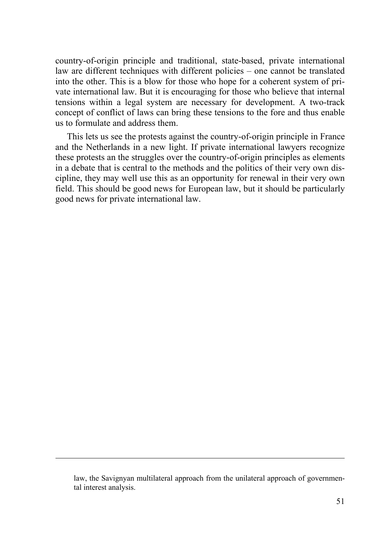country-of-origin principle and traditional, state-based, private international law are different techniques with different policies – one cannot be translated into the other. This is a blow for those who hope for a coherent system of private international law. But it is encouraging for those who believe that internal tensions within a legal system are necessary for development. A two-track concept of conflict of laws can bring these tensions to the fore and thus enable us to formulate and address them.

This lets us see the protests against the country-of-origin principle in France and the Netherlands in a new light. If private international lawyers recognize these protests an the struggles over the country-of-origin principles as elements in a debate that is central to the methods and the politics of their very own discipline, they may well use this as an opportunity for renewal in their very own field. This should be good news for European law, but it should be particularly good news for private international law.

law, the Savignyan multilateral approach from the unilateral approach of governmental interest analysis.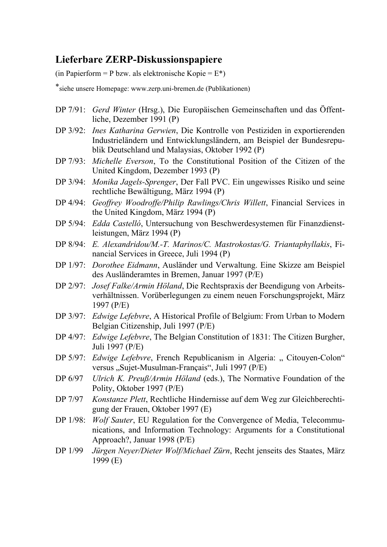## **Lieferbare ZERP-Diskussionspapiere**

(in Papierform = P bzw. als elektronische Kopie =  $E^*$ )

\*siehe unsere Homepage: www.zerp.uni-bremen.de (Publikationen)

- DP 7/91: *Gerd Winter* (Hrsg.), Die Europäischen Gemeinschaften und das Öffentliche, Dezember 1991 (P)
- DP 3/92: *Ines Katharina Gerwien*, Die Kontrolle von Pestiziden in exportierenden Industrieländern und Entwicklungsländern, am Beispiel der Bundesrepublik Deutschland und Malaysias, Oktober 1992 (P)
- DP 7/93: *Michelle Everson*, To the Constitutional Position of the Citizen of the United Kingdom, Dezember 1993 (P)
- DP 3/94: *Monika Jagels-Sprenger*, Der Fall PVC. Ein ungewisses Risiko und seine rechtliche Bewältigung, März 1994 (P)
- DP 4/94: *Geoffrey Woodroffe/Philip Rawlings/Chris Willett*, Financial Services in the United Kingdom, März 1994 (P)
- DP 5/94: *Edda Castelló*, Untersuchung von Beschwerdesystemen für Finanzdienstleistungen, März 1994 (P)
- DP 8/94: *E. Alexandridou/M.-T. Marinos/C. Mastrokostas/G. Triantaphyllakis*, Financial Services in Greece, Juli 1994 (P)
- DP 1/97: *Dorothee Eidmann*, Ausländer und Verwaltung. Eine Skizze am Beispiel des Ausländeramtes in Bremen, Januar 1997 (P/E)
- DP 2/97: *Josef Falke/Armin Höland*, Die Rechtspraxis der Beendigung von Arbeitsverhältnissen. Vorüberlegungen zu einem neuen Forschungsprojekt, März 1997 (P/E)
- DP 3/97: *Edwige Lefebvre*, A Historical Profile of Belgium: From Urban to Modern Belgian Citizenship, Juli 1997 (P/E)
- DP 4/97: *Edwige Lefebvre*, The Belgian Constitution of 1831: The Citizen Burgher, Juli 1997 (P/E)
- DP 5/97: *Edwige Lefebvre*, French Republicanism in Algeria: "Citouyen-Colon" versus "Sujet-Musulman-Français", Juli 1997 (P/E)
- DP 6/97 *Ulrich K. Preuß/Armin Höland* (eds.), The Normative Foundation of the Polity, Oktober 1997 (P/E)
- DP 7/97 *Konstanze Plett*, Rechtliche Hindernisse auf dem Weg zur Gleichberechtigung der Frauen, Oktober 1997 (E)
- DP 1/98: *Wolf Sauter*, EU Regulation for the Convergence of Media, Telecommunications, and Information Technology: Arguments for a Constitutional Approach?, Januar 1998 (P/E)
- DP 1/99 *Jürgen Neyer/Dieter Wolf/Michael Zürn*, Recht jenseits des Staates, März 1999 (E)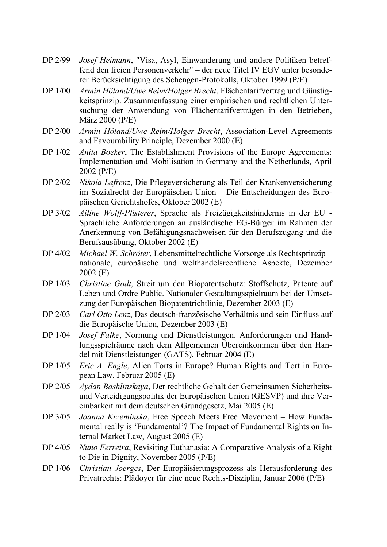- DP 2/99 *Josef Heimann*, "Visa, Asyl, Einwanderung und andere Politiken betreffend den freien Personenverkehr" – der neue Titel IV EGV unter besonderer Berücksichtigung des Schengen-Protokolls, Oktober 1999 (P/E)
- DP 1/00 *Armin Höland/Uwe Reim/Holger Brecht*, Flächentarifvertrag und Günstigkeitsprinzip. Zusammenfassung einer empirischen und rechtlichen Untersuchung der Anwendung von Flächentarifverträgen in den Betrieben, März 2000 (P/E)
- DP 2/00 *Armin Höland/Uwe Reim/Holger Brecht*, Association-Level Agreements and Favourability Principle, Dezember 2000 (E)
- DP 1/02 *Anita Boeker*, The Establishment Provisions of the Europe Agreements: Implementation and Mobilisation in Germany and the Netherlands, April 2002 (P/E)
- DP 2/02 *Nikola Lafrenz*, Die Pflegeversicherung als Teil der Krankenversicherung im Sozialrecht der Europäischen Union – Die Entscheidungen des Europäischen Gerichtshofes, Oktober 2002 (E)
- DP 3/02 *Ailine Wolff-Pfisterer*, Sprache als Freizügigkeitshindernis in der EU Sprachliche Anforderungen an ausländische EG-Bürger im Rahmen der Anerkennung von Befähigungsnachweisen für den Berufszugang und die Berufsausübung, Oktober 2002 (E)
- DP 4/02 *Michael W. Schröter*, Lebensmittelrechtliche Vorsorge als Rechtsprinzip nationale, europäische und welthandelsrechtliche Aspekte, Dezember 2002 (E)
- DP 1/03 *Christine Godt*, Streit um den Biopatentschutz: Stoffschutz, Patente auf Leben und Ordre Public. Nationaler Gestaltungsspielraum bei der Umsetzung der Europäischen Biopatentrichtlinie, Dezember 2003 (E)
- DP 2/03 *Carl Otto Lenz*, Das deutsch-französische Verhältnis und sein Einfluss auf die Europäische Union, Dezember 2003 (E)
- DP 1/04 *Josef Falke*, Normung und Dienstleistungen. Anforderungen und Handlungsspielräume nach dem Allgemeinen Übereinkommen über den Handel mit Dienstleistungen (GATS), Februar 2004 (E)
- DP 1/05 *Eric A. Engle*, Alien Torts in Europe? Human Rights and Tort in European Law, Februar 2005 (E)
- DP 2/05 *Aydan Bashlinskaya*, Der rechtliche Gehalt der Gemeinsamen Sicherheitsund Verteidigungspolitik der Europäischen Union (GESVP) und ihre Vereinbarkeit mit dem deutschen Grundgesetz, Mai 2005 (E)
- DP 3/05 *Joanna Krzeminska*, Free Speech Meets Free Movement How Fundamental really is 'Fundamental'? The Impact of Fundamental Rights on Internal Market Law, August 2005 (E)
- DP 4/05 *Nuno Ferreira*, Revisiting Euthanasia: A Comparative Analysis of a Right to Die in Dignity, November 2005 (P/E)
- DP 1/06 *Christian Joerges*, Der Europäisierungsprozess als Herausforderung des Privatrechts: Plädoyer für eine neue Rechts-Disziplin, Januar 2006 (P/E)